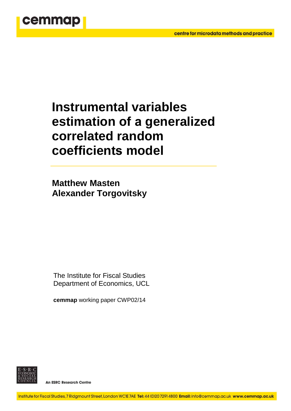

# **Instrumental variables estimation of a generalized correlated random coefficients model**

**Matthew Masten Alexander Torgovitsky**

The Institute for Fiscal Studies Department of Economics, UCL

**cemmap** working paper CWP02/14



An ESRC Research Centre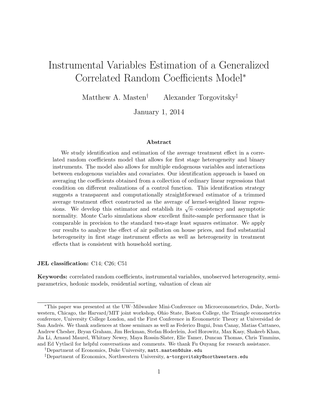## Instrumental Variables Estimation of a Generalized Correlated Random Coefficients Model<sup>\*</sup>

Matthew A. Masten*†* Alexander Torgovitsky*‡*

January 1, 2014

#### Abstract

We study identification and estimation of the average treatment effect in a correlated random coefficients model that allows for first stage heterogeneity and binary instruments. The model also allows for multiple endogenous variables and interactions between endogenous variables and covariates. Our identification approach is based on averaging the coefficients obtained from a collection of ordinary linear regressions that condition on different realizations of a control function. This identification strategy suggests a transparent and computationally straightforward estimator of a trimmed average treatment effect constructed as the average of kernel-weighted linear regressions. We develop this estimator and establish its  $\sqrt{n}$ –consistency and asymptotic normality. Monte Carlo simulations show excellent finite-sample performance that is comparable in precision to the standard two-stage least squares estimator. We apply our results to analyze the effect of air pollution on house prices, and find substantial heterogeneity in first stage instrument effects as well as heterogeneity in treatment effects that is consistent with household sorting.

#### JEL classification: C14; C26; C51

Keywords: correlated random coefficients, instrumental variables, unobserved heterogeneity, semiparametrics, hedonic models, residential sorting, valuation of clean air

<sup>⇤</sup>This paper was presented at the UW–Milwaukee Mini-Conference on Microeconometrics, Duke, Northwestern, Chicago, the Harvard/MIT joint workshop, Ohio State, Boston College, the Triangle econometrics conference, University College London, and the First Conference in Econometric Theory at Universidad de San Andr´es. We thank audiences at those seminars as well as Federico Bugni, Ivan Canay, Matias Cattaneo, Andrew Chesher, Bryan Graham, Jim Heckman, Stefan Hoderlein, Joel Horowitz, Max Kasy, Shakeeb Khan, Jia Li, Arnaud Maurel, Whitney Newey, Maya Rossin-Slater, Elie Tamer, Duncan Thomas, Chris Timmins, and Ed Vytlacil for helpful conversations and comments. We thank Fu Ouyang for research assistance.

*<sup>†</sup>*Department of Economics, Duke University, matt.masten@duke.edu

*<sup>‡</sup>*Department of Economics, Northwestern University, a-torgovitsky@northwestern.edu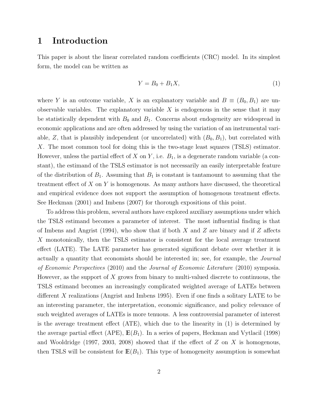### <span id="page-2-1"></span>1 Introduction

This paper is about the linear correlated random coefficients (CRC) model. In its simplest form, the model can be written as

<span id="page-2-0"></span>
$$
Y = B_0 + B_1 X,\tag{1}
$$

where *Y* is an outcome variable, *X* is an explanatory variable and  $B \equiv (B_0, B_1)$  are unobservable variables. The explanatory variable *X* is endogenous in the sense that it may be statistically dependent with  $B_0$  and  $B_1$ . Concerns about endogeneity are widespread in economic applications and are often addressed by using the variation of an instrumental variable,  $Z$ , that is plausibly independent (or uncorrelated) with  $(B_0, B_1)$ , but correlated with *X*. The most common tool for doing this is the two-stage least squares (TSLS) estimator. However, unless the partial effect of  $X$  on  $Y$ , i.e.  $B_1$ , is a degenerate random variable (a constant), the estimand of the TSLS estimator is not necessarily an easily interpretable feature of the distribution of  $B_1$ . Assuming that  $B_1$  is constant is tantamount to assuming that the treatment effect of X on Y is homogenous. As many authors have discussed, the theoretical and empirical evidence does not support the assumption of homogenous treatment effects. See [Heckman](#page-36-0) [\(2001\)](#page-36-0) and [Imbens](#page-36-1) [\(2007\)](#page-36-1) for thorough expositions of this point.

To address this problem, several authors have explored auxiliary assumptions under which the TSLS estimand becomes a parameter of interest. The most influential finding is that of [Imbens and Angrist](#page-37-0) [\(1994\)](#page-37-0), who show that if both  $X$  and  $Z$  are binary and if  $Z$  affects *X* monotonically, then the TSLS estimator is consistent for the local average treatment effect (LATE). The LATE parameter has generated significant debate over whether it is actually a quantity that economists should be interested in; see, for example, the *Journal of Economic Perspectives* (2010) and the *Journal of Economic Literature* (2010) symposia. However, as the support of *X* grows from binary to multi-valued discrete to continuous, the TSLS estimand becomes an increasingly complicated weighted average of LATEs between different X realizations [\(Angrist and Imbens](#page-35-0) [1995\)](#page-35-0). Even if one finds a solitary LATE to be an interesting parameter, the interpretation, economic significance, and policy relevance of such weighted averages of LATEs is more tenuous. A less controversial parameter of interest is the average treatment effect  $(ATE)$ , which due to the linearity in  $(1)$  is determined by the average partial effect (APE),  $\mathbb{E}(B_1)$ . In a series of papers, [Heckman and Vytlacil](#page-36-2) [\(1998\)](#page-36-2) and [Wooldridge](#page-38-0) [\(1997,](#page-38-0) [2003,](#page-38-1) [2008\)](#page-38-2) showed that if the effect of  $Z$  on  $X$  is homogenous, then TSLS will be consistent for  $\mathbb{E}(B_1)$ . This type of homogeneity assumption is somewhat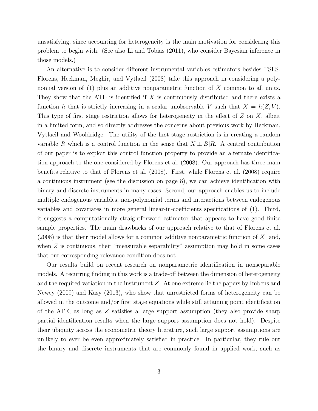<span id="page-3-0"></span>unsatisfying, since accounting for heterogeneity is the main motivation for considering this problem to begin with. (See also [Li and Tobias](#page-37-1) [\(2011\)](#page-37-1), who consider Bayesian inference in those models.)

An alternative is to consider different instrumental variables estimators besides TSLS. [Florens, Heckman, Meghir, and Vytlacil](#page-36-3) [\(2008\)](#page-36-3) take this approach in considering a polynomial version of [\(1\)](#page-2-0) plus an additive nonparametric function of *X* common to all units. They show that the ATE is identified if *X* is continuously distributed and there exists a function *h* that is strictly increasing in a scalar unobservable *V* such that  $X = h(Z, V)$ . This type of first stage restriction allows for heterogeneity in the effect of  $Z$  on  $X$ , albeit in a limited form, and so directly addresses the concerns about previous work by Heckman, Vytlacil and Wooldridge. The utility of the first stage restriction is in creating a random variable *R* which is a control function in the sense that  $X \perp \!\!\!\perp B | R$ . A central contribution of our paper is to exploit this control function property to provide an alternate identification approach to the one considered by [Florens et al.](#page-36-3) [\(2008\)](#page-36-3). Our approach has three main benefits relative to that of [Florens et al.](#page-36-3) [\(2008\)](#page-36-3). First, while [Florens et al.](#page-36-3) [\(2008\)](#page-36-3) require a continuous instrument (see the discussion on page [8\)](#page-8-0), we can achieve identification with binary and discrete instruments in many cases. Second, our approach enables us to include multiple endogenous variables, non-polynomial terms and interactions between endogenous variables and covariates in more general linear-in-coefficients specifications of  $(1)$ . Third, it suggests a computationally straightforward estimator that appears to have good finite sample properties. The main drawbacks of our approach relative to that of [Florens et al.](#page-36-3) [\(2008\)](#page-36-3) is that their model allows for a common additive nonparametric function of *X*, and, when *Z* is continuous, their "measurable separability" assumption may hold in some cases that our corresponding relevance condition does not.

Our results build on recent research on nonparametric identification in nonseparable models. A recurring finding in this work is a trade-off between the dimension of heterogeneity and the required variation in the instrument *Z*. At one extreme lie the papers by [Imbens and](#page-37-2) [Newey](#page-37-2) [\(2009\)](#page-37-2) and [Kasy](#page-37-3) [\(2013\)](#page-37-3), who show that unrestricted forms of heterogeneity can be allowed in the outcome and/or first stage equations while still attaining point identification of the ATE, as long as *Z* satisfies a large support assumption (they also provide sharp partial identification results when the large support assumption does not hold). Despite their ubiquity across the econometric theory literature, such large support assumptions are unlikely to ever be even approximately satisfied in practice. In particular, they rule out the binary and discrete instruments that are commonly found in applied work, such as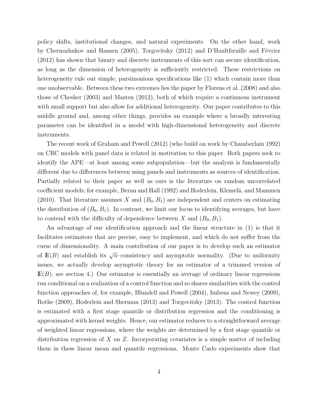<span id="page-4-0"></span>policy shifts, institutional changes, and natural experiments. On the other hand, work by [Chernozhukov and Hansen](#page-35-1) [\(2005\)](#page-35-1), [Torgovitsky](#page-38-3) [\(2012\)](#page-38-3) and D'Haultfœuille and Février [\(2012\)](#page-35-2) has shown that binary and discrete instruments of this sort can secure identification, as long as the dimension of heterogeneity is sufficiently restricted. These restrictions on heterogeneity rule out simple, parsimonious specifications like [\(1\)](#page-2-0) which contain more than one unobservable. Between these two extremes lies the paper by [Florens et al.](#page-36-3) [\(2008\)](#page-36-3) and also those of [Chesher](#page-35-3) [\(2003\)](#page-35-3) and [Masten](#page-37-4) [\(2012\)](#page-37-4), both of which require a continuous instrument with small support but also allow for additional heterogeneity. Our paper contributes to this middle ground and, among other things, provides an example where a broadly interesting parameter can be identified in a model with high-dimensional heterogeneity and discrete instruments.

The recent work of [Graham and Powell](#page-36-4) [\(2012\)](#page-36-4) (who build on work by [Chamberlain](#page-35-4) [1992\)](#page-35-4) on CRC models with panel data is related in motivation to this paper. Both papers seek to identify the APE—at least among some subpopulation—but the analysis is fundamentally different due to differences between using panels and instruments as sources of identification. Partially related to their paper as well as ours is the literature on random uncorrelated coefficient models; for example, [Beran and Hall](#page-35-5) [\(1992\)](#page-35-5) and Hoderlein, Klemelä, and Mammen [\(2010\)](#page-36-5). That literature assumes *X* and  $(B_0, B_1)$  are independent and centers on estimating the distribution of  $(B_0, B_1)$ . In contrast, we limit our focus to identifying averages, but have to contend with the difficulty of dependence between *X* and  $(B_0, B_1)$ .

An advantage of our identification approach and the linear structure in [\(1\)](#page-2-0) is that it facilitates estimators that are precise, easy to implement, and which do not suffer from the curse of dimensionality. A main contribution of our paper is to develop such an estimator of  $E(B)$  and establish its  $\sqrt{n}$ –consistency and asymptotic normality. (Due to uniformity issues, we actually develop asymptotic theory for an estimator of a trimmed version of  $E(B)$ ; see section [4.](#page-15-0)) Our estimator is essentially an average of ordinary linear regressions run conditional on a realization of a control function and so shares similarities with the control function approaches of, for example, [Blundell and Powell](#page-35-6) [\(2004\)](#page-35-6), [Imbens and Newey](#page-37-2) [\(2009\)](#page-37-2), [Rothe](#page-37-5) [\(2009\)](#page-37-5), [Hoderlein and Sherman](#page-36-6) [\(2013\)](#page-36-6) and [Torgovitsky](#page-38-4) [\(2013\)](#page-38-4). The control function is estimated with a first stage quantile or distribution regression and the conditioning is approximated with kernel weights. Hence, our estimator reduces to a straightforward average of weighted linear regressions, where the weights are determined by a first stage quantile or distribution regression of *X* on *Z*. Incorporating covariates is a simple matter of including them in these linear mean and quantile regressions. Monte Carlo experiments show that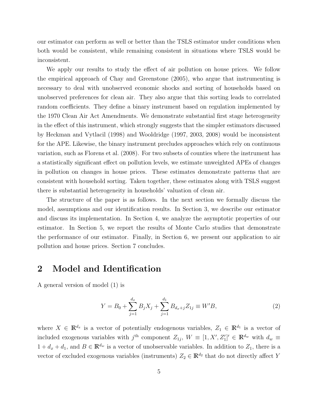<span id="page-5-2"></span>our estimator can perform as well or better than the TSLS estimator under conditions when both would be consistent, while remaining consistent in situations where TSLS would be inconsistent.

We apply our results to study the effect of air pollution on house prices. We follow the empirical approach of [Chay and Greenstone](#page-35-7) [\(2005\)](#page-35-7), who argue that instrumenting is necessary to deal with unobserved economic shocks and sorting of households based on unobserved preferences for clean air. They also argue that this sorting leads to correlated random coefficients. They define a binary instrument based on regulation implemented by the 1970 Clean Air Act Amendments. We demonstrate substantial first stage heterogeneity in the effect of this instrument, which strongly suggests that the simpler estimators discussed by [Heckman and Vytlacil](#page-36-2) [\(1998\)](#page-36-2) and [Wooldridge](#page-38-0) [\(1997,](#page-38-0) [2003,](#page-38-1) [2008\)](#page-38-2) would be inconsistent for the APE. Likewise, the binary instrument precludes approaches which rely on continuous variation, such as [Florens et al.](#page-36-3) [\(2008\)](#page-36-3). For two subsets of counties where the instrument has a statistically significant effect on pollution levels, we estimate unweighted APEs of changes in pollution on changes in house prices. These estimates demonstrate patterns that are consistent with household sorting. Taken together, these estimates along with TSLS suggest there is substantial heterogeneity in households' valuation of clean air.

The structure of the paper is as follows. In the next section we formally discuss the model, assumptions and our identification results. In Section [3,](#page-12-0) we describe our estimator and discuss its implementation. In Section [4,](#page-15-0) we analyze the asymptotic properties of our estimator. In Section [5,](#page-20-0) we report the results of Monte Carlo studies that demonstrate the performance of our estimator. Finally, in Section [6,](#page-21-0) we present our application to air pollution and house prices. Section [7](#page-27-0) concludes.

### <span id="page-5-1"></span>2 Model and Identification

A general version of model [\(1\)](#page-2-0) is

<span id="page-5-0"></span>
$$
Y = B_0 + \sum_{j=1}^{d_x} B_j X_j + \sum_{j=1}^{d_1} B_{d_x + j} Z_{1j} \equiv W'B,
$$
\n(2)

where  $X \in \mathbb{R}^{d_x}$  is a vector of potentially endogenous variables,  $Z_1 \in \mathbb{R}^{d_1}$  is a vector of included exogenous variables with  $j^{\text{th}}$  component  $Z_{1j}$ ,  $W \equiv [1, X', Z_1']' \in \mathbb{R}^{d_w}$  with  $d_w \equiv$  $1 + d_x + d_1$ , and  $B \in \mathbb{R}^{d_w}$  is a vector of unobservable variables. In addition to  $Z_1$ , there is a vector of excluded exogenous variables (instruments)  $Z_2 \in \mathbb{R}^{d_2}$  that do not directly affect *Y*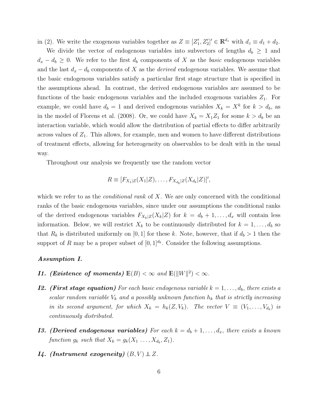<span id="page-6-4"></span>in [\(2\)](#page-5-0). We write the exogenous variables together as  $Z \equiv [Z'_1, Z'_2]' \in \mathbb{R}^{d_z}$  with  $d_z \equiv d_1 + d_2$ .

We divide the vector of endogenous variables into subvectors of lengths  $d_b \geq 1$  and  $d_x - d_b \geq 0$ . We refer to the first  $d_b$  components of *X* as the *basic* endogenous variables and the last  $d_x - d_b$  components of X as the *derived* endogenous variables. We assume that the basic endogenous variables satisfy a particular first stage structure that is specified in the assumptions ahead. In contrast, the derived endogenous variables are assumed to be functions of the basic endogenous variables and the included exogenous variables  $Z_1$ . For example, we could have  $d_b = 1$  and derived endogenous variables  $X_k = X^k$  for  $k > d_b$ , as in the model of [Florens et al.](#page-36-3) [\(2008\)](#page-36-3). Or, we could have  $X_k = X_1 Z_1$  for some  $k > d_b$  be an interaction variable, which would allow the distribution of partial effects to differ arbitrarily across values of  $Z_1$ . This allows, for example, men and women to have different distributions of treatment effects, allowing for heterogeneity on observables to be dealt with in the usual way.

Throughout our analysis we frequently use the random vector

$$
R \equiv [F_{X_1|Z}(X_1|Z), \ldots, F_{X_{d_b}|Z}(X_{d_b}|Z)]',
$$

which we refer to as the *conditional rank* of *X*. We are only concerned with the conditional ranks of the basic endogenous variables, since under our assumptions the conditional ranks of the derived endogenous variables  $F_{X_k|Z}(X_k|Z)$  for  $k = d_b + 1, \ldots, d_x$  will contain less information. Below, we will restrict  $X_k$  to be continuously distributed for  $k = 1, \ldots, d_b$  so that  $R_k$  is distributed uniformly on [0, 1] for these k. Note, however, that if  $d_b > 1$  then the support of *R* may be a proper subset of  $[0, 1]^{d_b}$ . Consider the following assumptions.

#### *Assumption I.*

- <span id="page-6-3"></span>*I1. (Existence of moments)*  $\mathbb{E}(B) < \infty$  and  $\mathbb{E}(\|W\|^2) < \infty$ .
- <span id="page-6-0"></span>*I2.**(First stage equation)* For each basic endogenous variable  $k = 1, \ldots, d_b$ , there exists a *scalar random variable*  $V_k$  *and a possibly unknown function*  $h_k$  *that is strictly increasing in its second argument, for which*  $X_k = h_k(Z, V_k)$ *. The vector*  $V \equiv (V_1, \ldots, V_{d_b})$  *is continuously distributed.*
- <span id="page-6-2"></span>*I3. (Derived endogenous variables)* For each  $k = d_b + 1, \ldots, d_x$ , there exists a known *function*  $g_k$  *such that*  $X_k = g_k(X_1, \ldots, X_{d_k}, Z_1)$ *.*
- <span id="page-6-1"></span>*I4. (Instrument exogeneity)*  $(B, V) \perp Z$ *.*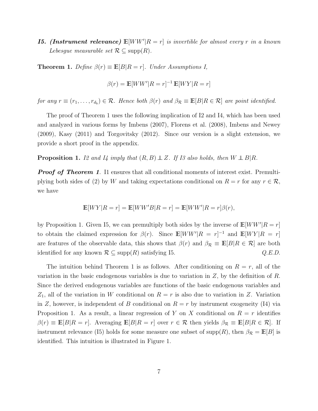<span id="page-7-3"></span><span id="page-7-2"></span>*I5. (Instrument relevance)*  $\mathbb{E}[WW'|R=r]$  *is invertible for almost every r in a known Lebesgue measurable set*  $\mathcal{R} \subseteq \text{supp}(R)$ *.* 

<span id="page-7-0"></span>**Theorem 1.** *Define*  $\beta(r) \equiv \mathbb{E}[B|R=r]$ *. Under Assumptions I,* 

$$
\beta(r) = \mathbb{E}[WW'|R=r]^{-1}\mathbb{E}[WY|R=r]
$$

*for any*  $r \equiv (r_1, \ldots, r_{d_b}) \in \mathcal{R}$ *. Hence both*  $\beta(r)$  *and*  $\beta_{\mathcal{R}} \equiv \mathbb{E}[B | R \in \mathcal{R}]$  *are point identified.* 

The proof of Theorem [1](#page-7-0) uses the following implication of [I2](#page-6-0) and [I4,](#page-6-1) which has been used and analyzed in various forms by [Imbens](#page-36-1) [\(2007\)](#page-36-1), [Florens et al.](#page-36-3) [\(2008\)](#page-36-3), [Imbens and Newey](#page-37-2) [\(2009\)](#page-37-2), [Kasy](#page-37-6) [\(2011\)](#page-37-6) and [Torgovitsky](#page-38-3) [\(2012\)](#page-38-3). Since our version is a slight extension, we provide a short proof in the appendix.

<span id="page-7-1"></span>**Proposition 1.** *[I2](#page-6-0) and [I4](#page-6-1) imply that*  $(R, B) \perp Z$ *. If [I3](#page-6-2) also holds, then*  $W \perp B | R$ *.* 

*Proof of Theorem [1](#page-7-0).* [I1](#page-6-3) ensures that all conditional moments of interest exist. Premulti-plying both sides of [\(2\)](#page-5-0) by *W* and taking expectations conditional on  $R = r$  for any  $r \in \mathcal{R}$ , we have

$$
\mathbb{E}[WY|R=r] = \mathbb{E}[WW'B|R=r] = \mathbb{E}[WW'|R=r]\beta(r),
$$

by Proposition [1.](#page-7-1) Given [I5,](#page-7-2) we can premultiply both sides by the inverse of  $\mathbb{E}[WW'|R=r]$ to obtain the claimed expression for  $\beta(r)$ . Since  $\mathbb{E}[WW'|R = r]^{-1}$  and  $\mathbb{E}[WY|R = r]$ are features of the observable data, this shows that  $\beta(r)$  and  $\beta_{\mathcal{R}} \equiv \mathbb{E}[B|R \in \mathcal{R}]$  are both identified for any known  $\mathcal{R} \subseteq \text{supp}(R)$  satisfying [I5.](#page-7-2)  $Q.E.D.$ 

The intuition behind Theorem [1](#page-7-0) is as follows. After conditioning on  $R = r$ , all of the variation in the basic endogenous variables is due to variation in *Z*, by the definition of *R*. Since the derived endogenous variables are functions of the basic endogenous variables and  $Z_1$ , all of the variation in *W* conditional on  $R = r$  is also due to variation in *Z*. Variation in *Z*, however, is independent of *B* conditional on  $R = r$  by instrument exogeneity [\(I4\)](#page-6-1) via Proposition [1.](#page-7-1) As a result, a linear regression of *Y* on *X* conditional on  $R = r$  identifies  $\beta(r) \equiv \mathbb{E}[B|R=r]$ . Averaging  $\mathbb{E}[B|R=r]$  over  $r \in \mathcal{R}$  then yields  $\beta_{\mathcal{R}} \equiv \mathbb{E}[B|R \in \mathcal{R}]$ . If instrument relevance [\(I5\)](#page-7-2) holds for some measure one subset of supp $(R)$ , then  $\beta_R = \mathbb{E}[B]$  is identified. This intuition is illustrated in Figure [1.](#page-8-0)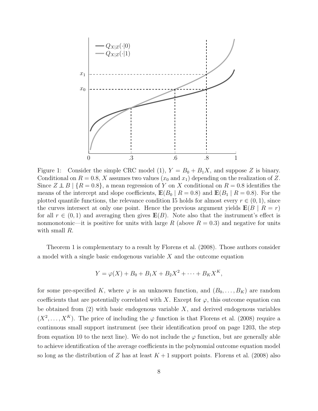<span id="page-8-1"></span>

<span id="page-8-0"></span>Figure 1: Consider the simple CRC model [\(1\)](#page-2-0),  $Y = B_0 + B_1 X$ , and suppose Z is binary. Conditional on  $R = 0.8$ , X assumes two values  $(x_0 \text{ and } x_1)$  depending on the realization of Z. Since  $Z \perp B \mid \{R = 0.8\}$ , a mean regression of *Y* on *X* conditional on  $R = 0.8$  identifies the means of the intercept and slope coefficients,  $\mathbb{E}(B_0 | R = 0.8)$  and  $\mathbb{E}(B_1 | R = 0.8)$ . For the plotted quantile functions, the relevance condition [I5](#page-7-2) holds for almost every  $r \in (0, 1)$ , since the curves intersect at only one point. Hence the previous argument yields  $\mathbb{E}(B \mid R = r)$ for all  $r \in (0,1)$  and averaging then gives  $\mathbb{E}(B)$ . Note also that the instrument's effect is nonmonotonic—it is positive for units with large  $R$  (above  $R = 0.3$ ) and negative for units with small *R*.

Theorem [1](#page-7-0) is complementary to a result by [Florens et al.](#page-36-3) [\(2008\)](#page-36-3). Those authors consider a model with a single basic endogenous variable *X* and the outcome equation

$$
Y = \varphi(X) + B_0 + B_1 X + B_2 X^2 + \dots + B_K X^K,
$$

for some pre-specified K, where  $\varphi$  is an unknown function, and  $(B_0, \ldots, B_K)$  are random coefficients that are potentially correlated with X. Except for  $\varphi$ , this outcome equation can be obtained from [\(2\)](#page-5-0) with basic endogenous variable *X*, and derived endogenous variables  $(X^2, \ldots, X^K)$ . The price of including the  $\varphi$  function is that [Florens et al.](#page-36-3) [\(2008\)](#page-36-3) require a continuous small support instrument (see their identification proof on page 1203, the step from equation 10 to the next line). We do not include the  $\varphi$  function, but are generally able to achieve identification of the average coefficients in the polynomial outcome equation model so long as the distribution of *Z* has at least  $K+1$  support points. [Florens et al.](#page-36-3) [\(2008\)](#page-36-3) also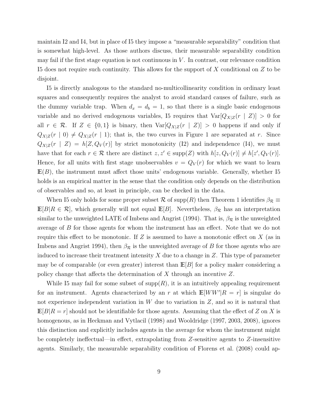<span id="page-9-0"></span>maintain [I2](#page-6-0) and [I4,](#page-6-1) but in place of [I5](#page-7-2) they impose a "measurable separability" condition that is somewhat high-level. As those authors discuss, their measurable separability condition may fail if the first stage equation is not continuous in  $V$ . In contrast, our relevance condition [I5](#page-7-2) does not require such continuity. This allows for the support of *X* conditional on *Z* to be disjoint.

[I5](#page-7-2) is directly analogous to the standard no-multicollinearity condition in ordinary least squares and consequently requires the analyst to avoid standard causes of failure, such as the dummy variable trap. When  $d_x = d_b = 1$ , so that there is a single basic endogenous variable and no derived endogenous variables, [I5](#page-7-2) requires that  $Var[Q_{X|Z}(r | Z)] > 0$  for all  $r \in \mathcal{R}$ . If  $Z \in \{0,1\}$  is binary, then  $\text{Var}[Q_{X|Z}(r \mid Z)] > 0$  happens if and only if  $Q_{X|Z}(r | 0) \neq Q_{X|Z}(r | 1)$  $Q_{X|Z}(r | 0) \neq Q_{X|Z}(r | 1)$  $Q_{X|Z}(r | 0) \neq Q_{X|Z}(r | 1)$ ; that is, the two curves in Figure 1 are separated at *r*. Since  $Q_{X|Z}(r \mid Z) = h[Z, Q_V(r)]$  by strict monotonicity [\(I2\)](#page-6-0) and independence [\(I4\)](#page-6-1), we must have that for each  $r \in \mathcal{R}$  there are distinct  $z, z' \in \text{supp}(Z)$  with  $h[z, Q_V(r)] \neq h[z', Q_V(r)]$ . Hence, for all units with first stage unobservables  $v = Q_V(r)$  for which we want to learn  $E(B)$ , the instrument must affect those units' endogenous variable. Generally, whether [I5](#page-7-2) holds is an empirical matter in the sense that the condition only depends on the distribution of observables and so, at least in principle, can be checked in the data.

When [I5](#page-7-2) only holds for some proper subset  $R$  of supp(*R*) then Theorem [1](#page-7-0) identifies  $\beta_R \equiv$  $\mathbb{E}[B|R \in \mathcal{R}]$ , which generally will not equal  $\mathbb{E}[B]$ . Nevertheless,  $\beta_{\mathcal{R}}$  has an interpretation similar to the unweighted LATE of [Imbens and Angrist](#page-37-0) [\(1994\)](#page-37-0). That is,  $\beta_{\mathcal{R}}$  is the unweighted average of *B* for those agents for whom the instrument has an effect. Note that we do not require this effect to be monotonic. If  $Z$  is assumed to have a monotonic effect on  $X$  (as in [Imbens and Angrist](#page-37-0) [1994\)](#page-37-0), then  $\beta_{\mathcal{R}}$  is the unweighted average of *B* for those agents who are induced to increase their treatment intensity *X* due to a change in *Z*. This type of parameter may be of comparable (or even greater) interest than **E**[*B*] for a policy maker considering a policy change that a↵ects the determination of *X* through an incentive *Z*.

While [I5](#page-7-2) may fail for some subset of  $\text{supp}(R)$ , it is an intuitively appealing requirement for an instrument. Agents characterized by an  $r$  at which  $\mathbb{E}[WW'|R = r]$  is singular do not experience independent variation in *W* due to variation in *Z*, and so it is natural that  $\mathbb{E}[B|R=r]$  should not be identifiable for those agents. Assuming that the effect of *Z* on *X* is homogenous, as in [Heckman and Vytlacil](#page-36-2) [\(1998\)](#page-36-2) and [Wooldridge](#page-38-0) [\(1997,](#page-38-0) [2003,](#page-38-1) [2008\)](#page-38-2), ignores this distinction and explicitly includes agents in the average for whom the instrument might be completely ineffectual—in effect, extrapolating from *Z*-sensitive agents to *Z*-insensitive agents. Similarly, the measurable separability condition of [Florens et al.](#page-36-3) [\(2008\)](#page-36-3) could ap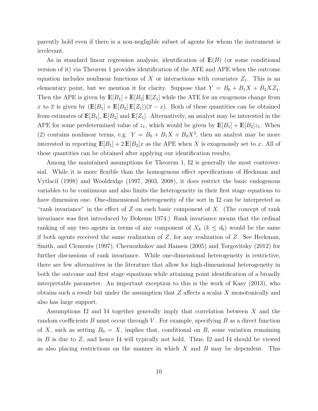<span id="page-10-0"></span>parently hold even if there is a non-negligible subset of agents for whom the instrument is irrelevant.

As in standard linear regression analysis, identification of **E**(*B*) (or some conditional version of it) via Theorem [1](#page-7-0) provides identification of the ATE and APE when the outcome equation includes nonlinear functions of  $X$  or interactions with covariates  $Z_1$ . This is an elementary point, but we mention it for clarity. Suppose that  $Y = B_0 + B_1X + B_2XZ_1$ . Then the APE is given by  $\mathbb{E}[B_1] + \mathbb{E}[B_2] \mathbb{E}[Z_1]$  while the ATE for an exogenous change from *x* to  $\bar{x}$  is given by  $(\mathbb{E}[B_1] + \mathbb{E}[B_2] \mathbb{E}[Z_1])(\bar{x} - x)$ . Both of these quantities can be obtained from estimates of  $\mathbb{E}[B_1], \mathbb{E}[B_2]$  and  $\mathbb{E}[Z_1]$ . Alternatively, an analyst may be interested in the APE for some predetermined value of  $z_1$ , which would be given by  $\mathbb{E}[B_1] + \mathbb{E}[B_2]z_1$ . When [\(2\)](#page-5-0) contains nonlinear terms, e.g.  $Y = B_0 + B_1X + B_2X^2$ , then an analyst may be more interested in reporting  $\mathbb{E}[B_1]+2\mathbb{E}[B_2]x$  as the APE when *X* is exogenously set to *x*. All of these quantities can be obtained after applying our identification results.

Among the maintained assumptions for Theorem [1,](#page-7-0) [I2](#page-6-0) is generally the most controver-sial. While it is more flexible than the homogenous effect specifications of [Heckman and](#page-36-2) [Vytlacil](#page-36-2) [\(1998\)](#page-36-2) and [Wooldridge](#page-38-0) [\(1997,](#page-38-0) [2003,](#page-38-1) [2008\)](#page-38-2), it does restrict the basic endogenous variables to be continuous and also limits the heterogeneity in their first stage equations to have dimension one. One-dimensional heterogeneity of the sort in [I2](#page-6-0) can be interpreted as "rank invariance" in the effect of  $Z$  on each basic component of  $X$ . (The concept of rank invariance was first introduced by [Doksum](#page-35-8) [1974.](#page-35-8)) Rank invariance means that the ordinal ranking of any two agents in terms of any component of  $X_k$  ( $k \leq d_b$ ) would be the same if both agents received the same realization of *Z*, for any realization of *Z*. See [Heckman,](#page-36-7) [Smith, and Clements](#page-36-7) [\(1997\)](#page-36-7), [Chernozhukov and Hansen](#page-35-1) [\(2005\)](#page-35-1) and [Torgovitsky](#page-38-3) [\(2012\)](#page-38-3) for further discussions of rank invariance. While one-dimensional heterogeneity is restrictive, there are few alternatives in the literature that allow for high-dimensional heterogeneity in both the outcome and first stage equations while attaining point identification of a broadly interpretable parameter. An important exception to this is the work of [Kasy](#page-37-3) [\(2013\)](#page-37-3), who obtains such a result but under the assumption that *Z* affects a scalar *X* monotonically and also has large support.

Assumptions [I2](#page-6-0) and [I4](#page-6-1) together generally imply that correlation between *X* and the random coefficients  $B$  must occur through  $V$ . For example, specifying  $B$  as a direct function of *X*, such as setting  $B_0 = X$ , implies that, conditional on *R*, some variation remaining in *B* is due to *Z*, and hence [I4](#page-6-1) will typically not hold. Thus, [I2](#page-6-0) and [I4](#page-6-1) should be viewed as also placing restrictions on the manner in which *X* and *B* may be dependent. This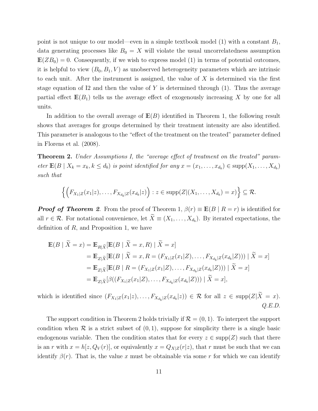<span id="page-11-1"></span>point is not unique to our model—even in a simple textbook model [\(1\)](#page-2-0) with a constant *B*1, data generating processes like  $B_0 = X$  will violate the usual uncorrelatedness assumption  $E(ZB_0) = 0$ . Consequently, if we wish to express model [\(1\)](#page-2-0) in terms of potential outcomes, it is helpful to view  $(B_0, B_1, V)$  as unobserved heterogeneity parameters which are intrinsic to each unit. After the instrument is assigned, the value of *X* is determined via the first stage equation of [I2](#page-6-0) and then the value of *Y* is determined through [\(1\)](#page-2-0). Thus the average partial effect  $E(B_1)$  tells us the average effect of exogenously increasing X by one for all units.

In addition to the overall average of **E**(*B*) identified in Theorem [1,](#page-7-0) the following result shows that averages for groups determined by their treatment intensity are also identified. This parameter is analogous to the "effect of the treatment on the treated" parameter defined in [Florens et al.](#page-36-3) [\(2008\)](#page-36-3).

<span id="page-11-0"></span>**Theorem 2.** Under Assumptions I, the "average effect of treatment on the treated" parameter  $\mathbb{E}(B \mid X_k = x_k, k \leq d_b)$  is point identified for any  $x = (x_1, \ldots, x_{d_b}) \in \text{supp}(X_1, \ldots, X_{d_b})$ *such that*

$$
\left\{ \Big( F_{X_1|Z}(x_1|z),\ldots,F_{X_{d_b}|Z}(x_{d_b}|z) \Big) : z \in \text{supp}(Z|(X_1,\ldots,X_{d_b})=x) \right\} \subseteq \mathcal{R}.
$$

*Proof of Theorem [2](#page-11-0).* From the proof of Theorem [1,](#page-7-0)  $\beta(r) \equiv \mathbb{E}(B \mid R = r)$  is identified for all  $r \in \mathcal{R}$ . For notational convenience, let  $\widetilde{X} \equiv (X_1, \ldots, X_{d_b})$ . By iterated expectations, the definition of *R*, and Proposition [1,](#page-7-1) we have

$$
\mathbb{E}(B \mid \widetilde{X} = x) = \mathbb{E}_{R \mid \widetilde{X}}[\mathbb{E}(B \mid \widetilde{X} = x, R) \mid \widetilde{X} = x]
$$
  
\n
$$
= \mathbb{E}_{Z \mid \widetilde{X}}[\mathbb{E}(B \mid \widetilde{X} = x, R = (F_{X_1 \mid Z}(x_1 | Z), \dots, F_{X_{d_b} \mid Z}(x_{d_b} | Z))) \mid \widetilde{X} = x]
$$
  
\n
$$
= \mathbb{E}_{Z \mid \widetilde{X}}[\mathbb{E}(B \mid R = (F_{X_1 \mid Z}(x_1 | Z), \dots, F_{X_{d_b} \mid Z}(x_{d_b} | Z))) \mid \widetilde{X} = x]
$$
  
\n
$$
= \mathbb{E}_{Z \mid \widetilde{X}}[\beta((F_{X_1 \mid Z}(x_1 | Z), \dots, F_{X_{d_b} \mid Z}(x_{d_b} | Z))) \mid \widetilde{X} = x],
$$

which is identified since  $(F_{X_1|Z}(x_1|z),...,F_{X_{d_h}|Z}(x_{d_h}|z)) \in \mathcal{R}$  for all  $z \in \text{supp}(Z|\tilde{X}=x)$ . *Q.E.D.*

The support condition in Theorem [2](#page-11-0) holds trivially if  $\mathcal{R} = (0, 1)$ . To interpret the support condition when  $\mathcal R$  is a strict subset of  $(0, 1)$ , suppose for simplicity there is a single basic endogenous variable. Then the condition states that for every  $z \in \text{supp}(Z)$  such that there is an *r* with  $x = h[z, Q_V(r)]$ , or equivalently  $x = Q_{X|Z}(r|z)$ , that *r* must be such that we can identify  $\beta(r)$ . That is, the value x must be obtainable via some r for which we can identify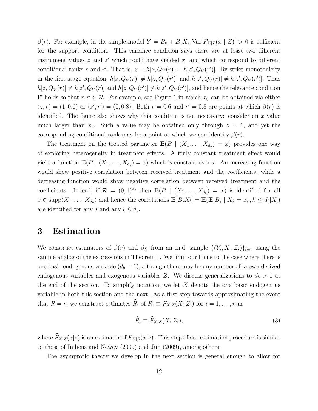<span id="page-12-2"></span> $\beta(r)$ . For example, in the simple model  $Y = B_0 + B_1 X$ ,  $Var[F_{X|Z}(x | Z)] > 0$  is sufficient for the support condition. This variance condition says there are at least two different instrument values  $z$  and  $z'$  which could have yielded  $x$ , and which correspond to different conditional ranks *r* and *r'*. That is,  $x = h[z, Q_V(r)] = h[z', Q_V(r')]$ . By strict monotonicity in the first stage equation,  $h[z, Q_V(r)] \neq h[z, Q_V(r')]$  and  $h[z', Q_V(r)] \neq h[z', Q_V(r')]$ . Thus  $h[z, Q_V(r)] \neq h[z', Q_V(r)]$  and  $h[z, Q_V(r')] \neq h[z', Q_V(r')]$ , and hence the relevance condition [I5](#page-7-2) holds so that  $r, r' \in \mathcal{R}$ . For example, see Figure [1](#page-8-0) in which  $x_0$  can be obtained via either  $(z, r) = (1, 0.6)$  or  $(z', r') = (0, 0.8)$ . Both  $r = 0.6$  and  $r' = 0.8$  are points at which  $\beta(r)$  is identified. The figure also shows why this condition is not necessary: consider an *x* value much larger than  $x_1$ . Such a value may be obtained only through  $z = 1$ , and yet the corresponding conditional rank may be a point at which we can identify  $\beta(r)$ .

The treatment on the treated parameter  $\mathbb{E}(B \mid (X_1, \ldots, X_{d_b}) = x)$  provides one way of exploring heterogeneity in treatment effects. A truly constant treatment effect would yield a function  $\mathbb{E}(B \mid (X_1, \ldots, X_{d_b}) = x)$  which is constant over *x*. An increasing function would show positive correlation between received treatment and the coefficients, while a decreasing function would show negative correlation between received treatment and the coefficients. Indeed, if  $\mathcal{R} = (0,1)^{d_b}$  then  $\mathbb{E}(B \mid (X_1,\ldots,X_{d_b}) = x)$  is identified for all  $x \in \text{supp}(X_1, \ldots, X_{d_b})$  and hence the correlations  $\mathbb{E}[B_j X_l] = \mathbb{E}(\mathbb{E}[B_j | X_k = x_k, k \leq d_b]X_l)$ are identified for any *j* and any  $l \leq d_b$ .

### <span id="page-12-0"></span>3 Estimation

We construct estimators of  $\beta(r)$  and  $\beta_{\mathcal{R}}$  from an i.i.d. sample  $\{(Y_i, X_i, Z_i)\}_{i=1}^n$  using the sample analog of the expressions in Theorem [1.](#page-7-0) We limit our focus to the case where there is one basic endogenous variable  $(d_b = 1)$ , although there may be any number of known derived endogenous variables and exogenous variables Z. We discuss generalizations to  $d_b > 1$  at the end of the section. To simplify notation, we let *X* denote the one basic endogenous variable in both this section and the next. As a first step towards approximating the event that  $R = r$ , we construct estimates  $\widehat{R}_i$  of  $R_i \equiv F_{X|Z}(X_i|Z_i)$  for  $i = 1, \ldots, n$  as

<span id="page-12-1"></span>
$$
\widehat{R}_i \equiv \widehat{F}_{X|Z}(X_i|Z_i),\tag{3}
$$

where  $\widehat{F}_{X|Z}(x|z)$  is an estimator of  $F_{X|Z}(x|z)$ . This step of our estimation procedure is similar to those of [Imbens and Newey](#page-37-2) [\(2009\)](#page-37-2) and [Jun](#page-37-7) [\(2009\)](#page-37-7), among others.

The asymptotic theory we develop in the next section is general enough to allow for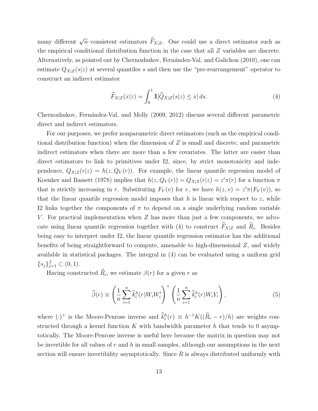<span id="page-13-2"></span>many different  $\sqrt{n}$ –consistent estimators  $\widehat{F}_{X|Z}$ . One could use a direct estimator such as the empirical conditional distribution function in the case that all *Z* variables are discrete. Alternatively, as pointed out by Chernozhukov, Fernández-Val, and Galichon [\(2010\)](#page-35-9), one can estimate  $Q_{X|Z}(s|z)$  at several quantiles *s* and then use the "pre-rearrangement" operator to construct an indirect estimator

<span id="page-13-0"></span>
$$
\widehat{F}_{X|Z}(x|z) = \int_0^1 \mathbb{1}[\widehat{Q}_{X|Z}(s|z) \le x] ds. \tag{4}
$$

Chernozhukov, Fernández-Val, and Melly [\(2009,](#page-35-10) [2012\)](#page-35-11) discuss several different parametric direct and indirect estimators.

For our purposes, we prefer nonparametric direct estimators (such as the empirical conditional distribution function) when the dimension of *Z* is small and discrete, and parametric indirect estimators when there are more than a few covariates. The latter are easier than direct estimators to link to primitives under [I2,](#page-6-0) since, by strict monotonicity and independence,  $Q_{X|Z}(r|z) = h(z, Q_V(r))$ . For example, the linear quantile regression model of [Koenker and Bassett](#page-37-8) [\(1978\)](#page-37-8) implies that  $h(z, Q_V(r)) = Q_{X|Z}(r|z) = z'\pi(r)$  for a function  $\pi$ that is strictly increasing in *r*. Substituting  $F_V(v)$  for *r*, we have  $h(z, v) = z'\pi(F_V(v))$ , so that the linear quantile regression model imposes that  $h$  is linear with respect to  $z$ , while [I2](#page-6-0) links together the components of  $\pi$  to depend on a single underlying random variable *V*. For practical implementation when *Z* has more than just a few components, we advo-cate using linear quantile regression together with [\(4\)](#page-13-0) to construct  $\widehat{F}_{X|Z}$  and  $\widehat{R}_i$ . Besides being easy to interpret under [I2,](#page-6-0) the linear quantile regression estimator has the additional benefits of being straightforward to compute, amenable to high-dimensional *Z*, and widely available in statistical packages. The integral in [\(4\)](#page-13-0) can be evaluated using a uniform grid  $\{s_j\}_{j=1}^J \subset (0,1).$ 

Having constructed  $\widehat{R}_i$ , we estimate  $\beta(r)$  for a given *r* as

<span id="page-13-1"></span>
$$
\widehat{\beta}(r) \equiv \left(\frac{1}{n}\sum_{i=1}^{n}\widehat{k}_i^h(r)W_iW_i'\right)^{+}\left(\frac{1}{n}\sum_{i=1}^{n}\widehat{k}_i^h(r)W_iY_i\right),\tag{5}
$$

where  $(\cdot)^+$  is the Moore-Penrose inverse and  $k_i^h(r) \equiv h^{-1}K((\hat{R}_i - r)/h)$  are weights constructed through a kernel function *K* with bandwidth parameter *h* that tends to 0 asymptotically. The Moore-Penrose inverse is useful here because the matrix in question may not be invertible for all values of *r* and *h* in small samples, although our assumptions in the next section will ensure invertibility asymptotically. Since *R* is always distributed uniformly with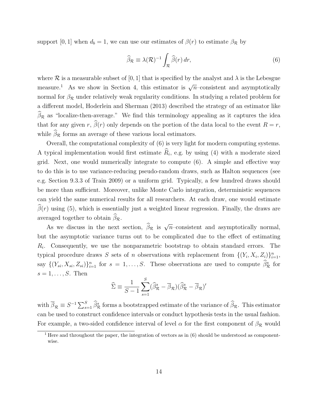<span id="page-14-2"></span>support  $[0, 1]$  when  $d_b = 1$ , we can use our estimates of  $\beta(r)$  to estimate  $\beta_{\mathcal{R}}$  by

<span id="page-14-1"></span>
$$
\widehat{\beta}_{\mathcal{R}} \equiv \lambda(\mathcal{R})^{-1} \int_{\mathcal{R}} \widehat{\beta}(r) dr,
$$
\n(6)

where  $\mathcal R$  is a measurable subset of [0, 1] that is specified by the analyst and  $\lambda$  is the Lebesgue measure.<sup>[1](#page-14-0)</sup> As we show in Section [4,](#page-15-0) this estimator is  $\sqrt{n}$ –consistent and asymptotically normal for  $\beta_R$  under relatively weak regularity conditions. In studying a related problem for a different model, [Hoderlein and Sherman](#page-36-6) [\(2013\)](#page-36-6) described the strategy of an estimator like  $\beta_R$  as "localize-then-average." We find this terminology appealing as it captures the idea that for any given *r*,  $\beta(r)$  only depends on the portion of the data local to the event  $R = r$ , while  $\beta_{\mathcal{R}}$  forms an average of these various local estimators.

Overall, the computational complexity of [\(6\)](#page-14-1) is very light for modern computing systems. A typical implementation would first estimate  $\hat{R}_i$ , e.g. by using [\(4\)](#page-13-0) with a moderate sized grid. Next, one would numerically integrate to compute  $(6)$ . A simple and effective way to do this is to use variance-reducing pseudo-random draws, such as Halton sequences (see e.g. Section 9.3.3 of [Train](#page-38-5) [2009\)](#page-38-5) or a uniform grid. Typically, a few hundred draws should be more than sufficient. Moreover, unlike Monte Carlo integration, deterministic sequences can yield the same numerical results for all researchers. At each draw, one would estimate  $\beta(r)$  using [\(5\)](#page-13-1), which is essentially just a weighted linear regression. Finally, the draws are averaged together to obtain  $\beta_{\mathcal{R}}$ .

As we discuss in the next section,  $\widehat{\beta}_{\mathcal{R}}$  is  $\sqrt{n}$ –consistent and asymptotically normal, but the asymptotic variance turns out to be complicated due to the effect of estimating *Ri*. Consequently, we use the nonparametric bootstrap to obtain standard errors. The typical procedure draws *S* sets of *n* observations with replacement from  $\{(Y_i, X_i, Z_i)\}_{i=1}^n$ , say  $\{(Y_{si}, X_{si}, Z_{si})\}_{i=1}^n$  for  $s = 1, \ldots, S$ . These observations are used to compute  $\hat{\beta}_{\cal R}^s$  for  $s = 1, \ldots, S$ . Then

$$
\widehat{\Sigma} \equiv \frac{1}{S-1} \sum_{s=1}^{S} (\widehat{\beta}_{\mathcal{R}}^s - \overline{\beta}_{\mathcal{R}}) (\widehat{\beta}_{\mathcal{R}}^s - \overline{\beta}_{\mathcal{R}})'
$$

with  $\overline{\beta}_{\mathcal{R}} \equiv S^{-1} \sum_{s=1}^S \widehat{\beta}_{\mathcal{R}}^s$  forms a bootstrapped estimate of the variance of  $\widehat{\beta}_{\mathcal{R}}$ . This estimator can be used to construct confidence intervals or conduct hypothesis tests in the usual fashion. For example, a two-sided confidence interval of level  $\alpha$  for the first component of  $\beta_{\mathcal{R}}$  would

<span id="page-14-0"></span> $\overline{1}$  Here and throughout the paper, the integration of vectors as in [\(6\)](#page-14-1) should be understood as componentwise.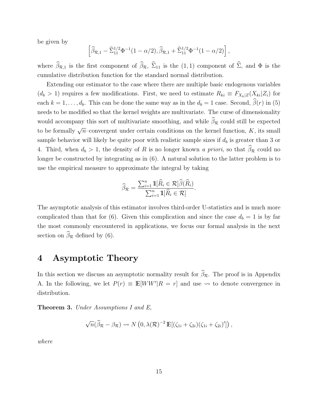be given by

$$
\left[\widehat{\beta}_{\mathcal{R},1} - \widehat{\Sigma}_{11}^{1/2} \Phi^{-1} (1 - \alpha/2), \widehat{\beta}_{\mathcal{R},1} + \widehat{\Sigma}_{11}^{1/2} \Phi^{-1} (1 - \alpha/2)\right],
$$

where  $\beta_{\mathcal{R},1}$  is the first component of  $\beta_{\mathcal{R}}, \Sigma_{11}$  is the  $(1,1)$  component of  $\Sigma$ , and  $\Phi$  is the cumulative distribution function for the standard normal distribution.

Extending our estimator to the case where there are multiple basic endogenous variables  $(d_b > 1)$  requires a few modifications. First, we need to estimate  $R_{ki} \equiv F_{X_k|Z}(X_{ki}|Z_i)$  for each  $k = 1, \ldots, d_b$ . This can be done the same way as in the  $d_b = 1$  case. Second,  $\beta(r)$  in [\(5\)](#page-13-1) needs to be modified so that the kernel weights are multivariate. The curse of dimensionality would accompany this sort of multivariate smoothing, and while  $\beta_{\mathcal{R}}$  could still be expected to be formally  $\sqrt{n}$ –convergent under certain conditions on the kernel function, *K*, its small sample behavior will likely be quite poor with realistic sample sizes if *d<sup>b</sup>* is greater than 3 or 4. Third, when  $d_b > 1$ , the density of R is no longer known *a priori*, so that  $\beta_R$  could no longer be constructed by integrating as in [\(6\)](#page-14-1). A natural solution to the latter problem is to use the empirical measure to approximate the integral by taking

$$
\widehat{\beta}_{\mathcal{R}} = \frac{\sum_{i=1}^{n} \mathbb{1}[\widehat{R}_{i} \in \mathcal{R}]\widehat{\beta}(\widehat{R}_{i})}{\sum_{i=1}^{n} \mathbb{1}[\widehat{R}_{i} \in \mathcal{R}]}.
$$

The asymptotic analysis of this estimator involves third-order U-statistics and is much more complicated than that for [\(6\)](#page-14-1). Given this complication and since the case  $d_b = 1$  is by far the most commonly encountered in applications, we focus our formal analysis in the next section on  $\beta_{\mathcal{R}}$  defined by [\(6\)](#page-14-1).

### <span id="page-15-0"></span>4 Asymptotic Theory

In this section we discuss an asymptotic normality result for  $\beta_{\mathcal{R}}$ . The proof is in Appendix [A.](#page-28-0) In the following, we let  $P(r) \equiv \mathbb{E}[WW'|R=r]$  and use  $\leadsto$  to denote convergence in distribution.

<span id="page-15-1"></span>Theorem 3. *Under Assumptions I and E,*

$$
\sqrt{n}(\widehat{\beta}_{\mathcal{R}}-\beta_{\mathcal{R}})\rightsquigarrow N\left(0,\lambda(\mathcal{R})^{-2}\,\mathbb{E}[(\zeta_{1i}+\zeta_{2i})(\zeta_{1i}+\zeta_{2i})']\right),
$$

*where*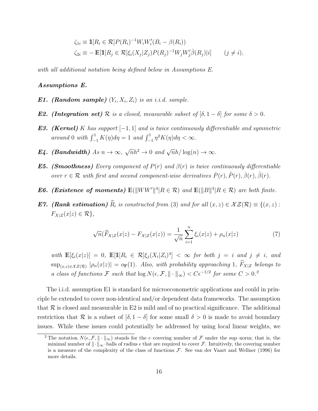$$
\zeta_{1i} \equiv \mathbb{1}[R_i \in \mathcal{R}] P(R_i)^{-1} W_i W_i'(B_i - \beta(R_i))
$$
  
\n
$$
\zeta_{2i} \equiv -\mathbb{E}[\mathbb{1}[R_j \in \mathcal{R}] \xi_i(X_j | Z_j) P(R_j)^{-1} W_j W_j' \dot{\beta}(R_j) | i] \qquad (j \neq i),
$$

<span id="page-16-8"></span>*with all additional notation being defined below in Assumptions E.*

#### *Assumptions E.*

- <span id="page-16-1"></span>*E1. (Random sample)*  $(Y_i, X_i, Z_i)$  *is an i.i.d. sample.*
- <span id="page-16-2"></span>*E2. (Integration set)*  $R$  *is a closed, measurable subset of*  $[\delta, 1 - \delta]$  *for some*  $\delta > 0$ *.*
- <span id="page-16-4"></span>*E3. (Kernel) K has support*  $[-1, 1]$  *and is twice continuously differentiable and symmetric*  $around\ 0\ with\ \int_{-1}^{1} K(\eta) d\eta = 1\ and\ \int_{-1}^{1} \eta^2 K(\eta) d\eta < \infty.$
- <span id="page-16-5"></span>*E4. (Bandwidth) As*  $n \to \infty$ ,  $\sqrt{n}h^2 \to 0$  *and*  $\sqrt{n}h/\log(n) \to \infty$ .
- <span id="page-16-6"></span>*E5. (Smoothness) Every component of*  $P(r)$  *and*  $\beta(r)$  *is twice continuously differentiable over*  $r \in \mathcal{R}$  *with first and second component-wise derivatives*  $\dot{P}(r), \ddot{P}(r), \dot{\beta}(r), \ddot{\beta}(r)$ *.*
- <span id="page-16-7"></span>*E6. (Existence of moments)*  $\mathbb{E}(\|WW'\|^4 | R \in \mathcal{R})$  *and*  $\mathbb{E}(\|B\|^4 | R \in \mathcal{R})$  *are both finite.*
- <span id="page-16-3"></span>*E7. (Rank estimation)*  $\widehat{R}_i$  *is constructed from* [\(3\)](#page-12-1) *and for all*  $(x, z) \in \mathcal{XZ}(\mathcal{R}) \equiv \{(x, z) :$  $F_{X|Z}(x|z) \in \mathcal{R}$ ,

$$
\sqrt{n}(\widehat{F}_{X|Z}(x|z) - F_{X|Z}(x|z)) = \frac{1}{\sqrt{n}} \sum_{i=1}^{n} \xi_i(x|z) + \rho_n(x|z)
$$
(7)

with  $\mathbb{E}[\xi_i(x|z)] = 0$ ,  $\mathbb{E}[\mathbb{1}[R_i \in \mathcal{R}]\xi_i(X_i|Z_i)^4] < \infty$  for both  $j = i$  and  $j \neq i$ , and  $\sup_{(x,z)\in\mathcal{X}Z(\mathcal{R})}|\rho_n(x|z)| = o_{\mathbb{P}}(1)$ *. Also, with probability approaching* 1*,*  $\widehat{F}_{X|Z}$  *belongs to a class of functions*  $\mathcal F$  *such that*  $\log N(\epsilon, \mathcal F, \|\cdot\|_{\infty}) < C\epsilon^{-1/2}$  $\log N(\epsilon, \mathcal F, \|\cdot\|_{\infty}) < C\epsilon^{-1/2}$  $\log N(\epsilon, \mathcal F, \|\cdot\|_{\infty}) < C\epsilon^{-1/2}$  *for some*  $C > 0$ .<sup>2</sup>

The i.i.d. assumption [E1](#page-16-1) is standard for microeconometric applications and could in principle be extended to cover non-identical and/or dependent data frameworks. The assumption that  $R$  is closed and measurable in [E2](#page-16-2) is mild and of no practical significance. The additional restriction that *R* is a subset of  $[\delta, 1 - \delta]$  for some small  $\delta > 0$  is made to avoid boundary issues. While these issues could potentially be addressed by using local linear weights, we

<span id="page-16-0"></span><sup>&</sup>lt;sup>2</sup> The notation  $N(\epsilon, \mathcal{F}, \|\cdot\|_{\infty})$  stands for the  $\epsilon$ -covering number of  $\mathcal F$  under the sup–norm; that is, the minimal number of  $\|\cdot\|_{\infty}$ -balls of radius  $\epsilon$  that are required to cover *F*. Intuitively, the covering number is a measure of the complexity of the class of functions *F*. See [van der Vaart and Wellner](#page-38-6) [\(1996\)](#page-38-6) for more details.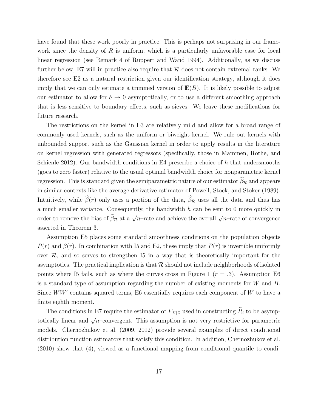<span id="page-17-0"></span>have found that these work poorly in practice. This is perhaps not surprising in our framework since the density of R is uniform, which is a particularly unfavorable case for local linear regression (see Remark 4 of [Ruppert and Wand](#page-37-9) [1994\)](#page-37-9). Additionally, as we discuss further below, [E7](#page-16-3) will in practice also require that *R* does not contain extremal ranks. We therefore see [E2](#page-16-2) as a natural restriction given our identification strategy, although it does imply that we can only estimate a trimmed version of  $E(B)$ . It is likely possible to adjust our estimator to allow for  $\delta \to 0$  asymptotically, or to use a different smoothing approach that is less sensitive to boundary effects, such as sieves. We leave these modifications for future research.

The restrictions on the kernel in [E3](#page-16-4) are relatively mild and allow for a broad range of commonly used kernels, such as the uniform or biweight kernel. We rule out kernels with unbounded support such as the Gaussian kernel in order to apply results in the literature on kernel regression with generated regressors (specifically, those in [Mammen, Rothe, and](#page-37-10) [Schienle](#page-37-10) [2012\)](#page-37-10). Our bandwidth conditions in [E4](#page-16-5) prescribe a choice of *h* that undersmooths (goes to zero faster) relative to the usual optimal bandwidth choice for nonparametric kernel regression. This is standard given the semiparametric nature of our estimator  $\beta_{\mathcal{R}}$  and appears in similar contexts like the average derivative estimator of [Powell, Stock, and Stoker](#page-37-11) [\(1989\)](#page-37-11). Intuitively, while  $\beta(r)$  only uses a portion of the data,  $\beta_{\mathcal{R}}$  uses all the data and thus has a much smaller variance. Consequently, the bandwidth *h* can be sent to 0 more quickly in order to remove the bias of  $\widehat{\beta}_{\mathcal{R}}$  at a  $\sqrt{n}$ –rate and achieve the overall  $\sqrt{n}$ –rate of convergence asserted in Theorem [3.](#page-15-1)

Assumption [E5](#page-16-6) places some standard smoothness conditions on the population objects  $P(r)$  and  $\beta(r)$ . In combination with [I5](#page-7-2) and [E2,](#page-16-2) these imply that  $P(r)$  is invertible uniformly over  $R$ , and so serves to strengthen [I5](#page-7-2) in a way that is theoretically important for the asymptotics. The practical implication is that  $R$  should not include neighborhoods of isolated points where [I5](#page-7-2) fails, such as where the curves cross in Figure [1](#page-8-0) ( $r = .3$ ). Assumption [E6](#page-16-7) is a standard type of assumption regarding the number of existing moments for *W* and *B*. Since  $WW'$  contains squared terms, [E6](#page-16-7) essentially requires each component of  $W$  to have a finite eighth moment.

The conditions in [E7](#page-16-3) require the estimator of  $F_{X|Z}$  used in constructing  $\widehat{R}_i$  to be asymptotically linear and  $\sqrt{n}$ –convergent. This assumption is not very restrictive for parametric models. [Chernozhukov et al.](#page-35-10) [\(2009,](#page-35-10) [2012\)](#page-35-11) provide several examples of direct conditional distribution function estimators that satisfy this condition. In addition, [Chernozhukov et al.](#page-35-9) [\(2010\)](#page-35-9) show that [\(4\)](#page-13-0), viewed as a functional mapping from conditional quantile to condi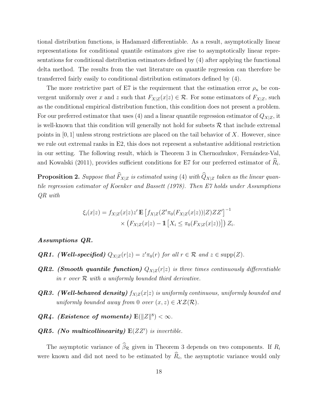<span id="page-18-1"></span>tional distribution functions, is Hadamard differentiable. As a result, asymptotically linear representations for conditional quantile estimators give rise to asymptotically linear representations for conditional distribution estimators defined by [\(4\)](#page-13-0) after applying the functional delta method. The results from the vast literature on quantile regression can therefore be transferred fairly easily to conditional distribution estimators defined by [\(4\)](#page-13-0).

The more restrictive part of [E7](#page-16-3) is the requirement that the estimation error  $\rho_n$  be convergent uniformly over *x* and *z* such that  $F_{X|Z}(x|z) \in \mathcal{R}$ . For some estimators of  $F_{X|Z}$ , such as the conditional empirical distribution function, this condition does not present a problem. For our preferred estimator that uses [\(4\)](#page-13-0) and a linear quantile regression estimator of  $Q_{X|Z}$ , it is well-known that this condition will generally not hold for subsets  $R$  that include extremal points in  $[0, 1]$  unless strong restrictions are placed on the tail behavior of X. However, since we rule out extremal ranks in [E2,](#page-16-2) this does not represent a substantive additional restriction in our setting. The following result, which is Theorem 3 in Chernozhukov, Fernández-Val, [and Kowalski](#page-35-12) [\(2011\)](#page-35-12), provides sufficient conditions for [E7](#page-16-3) for our preferred estimator of  $R_i$ .

<span id="page-18-0"></span>**Proposition 2.** Suppose that  $\widehat{F}_{X|Z}$  is estimated using [\(4\)](#page-13-0) with  $\widehat{Q}_{X|Z}$  taken as the linear quan*tile regression estimator of [Koenker and Bassett](#page-37-8) [\(1978\)](#page-37-8). Then [E7](#page-16-3) holds under Assumptions QR with*

$$
\xi_i(x|z) = f_{X|Z}(x|z)z' \mathbb{E} [f_{X|Z}(Z'\pi_0(F_{X|Z}(x|z))|Z)ZZ']^{-1}
$$
  
 
$$
\times (F_{X|Z}(x|z) - \mathbb{1} [X_i \leq \pi_0(F_{X|Z}(x|z))]) Z_i.
$$

#### *Assumptions QR.*

- *QR1. (Well-specified)*  $Q_{X|Z}(r|z) = z'\pi_0(r)$  *for all*  $r \in \mathcal{R}$  *and*  $z \in \text{supp}(Z)$ *.*
- *QR2. (Smooth quantile function)*  $Q_{X|Z}(r|z)$  *is three times continuously differentiable in r over R with a uniformly bounded third derivative.*
- *QR3. (Well-behaved density) f<sup>X</sup>|<sup>Z</sup>*(*x|z*) *is uniformly continuous, uniformly bounded and uniformly bounded away from* 0 *over*  $(x, z) \in \mathcal{XZ}(\mathcal{R})$ *.*
- *QR4. (Existence of moments)*  $\mathbb{E}(\Vert Z \Vert^8) < \infty$ .
- *QR5. (No multicollinearity)*  $E(ZZ')$  *is invertible.*

The asymptotic variance of  $\beta_{\mathcal{R}}$  given in Theorem [3](#page-15-1) depends on two components. If  $R_i$ were known and did not need to be estimated by  $\widehat{R}_i$ , the asymptotic variance would only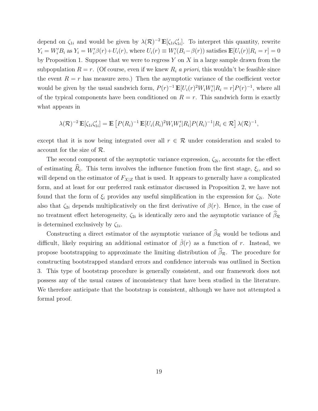depend on  $\zeta_{1i}$  and would be given by  $\lambda(\mathcal{R})^{-2} \mathbb{E}[\zeta_{1i}\zeta'_{1i}]$ . To interpret this quantity, rewrite  $Y_i = W_i'B_i$  as  $Y_i = W_i'\beta(r) + U_i(r)$ , where  $U_i(r) \equiv W_i'(B_i - \beta(r))$  satisfies  $\mathbb{E}[U_i(r)|R_i = r] = 0$ by Proposition [1.](#page-7-1) Suppose that we were to regress *Y* on *X* in a large sample drawn from the subpopulation  $R = r$ . (Of course, even if we knew  $R_i$  *a priori*, this wouldn't be feasible since the event  $R = r$  has measure zero.) Then the asymptotic variance of the coefficient vector would be given by the usual sandwich form,  $P(r)^{-1} \mathbb{E}[U_i(r)^2 W_i W_i' | R_i = r] P(r)^{-1}$ , where all of the typical components have been conditioned on  $R = r$ . This sandwich form is exactly what appears in

$$
\lambda(\mathcal{R})^{-2}\mathbb{E}[\zeta_{1i}\zeta'_{1i}] = \mathbb{E}\left[P(R_i)^{-1}\mathbb{E}[U_i(R_i)^2W_iW_i'R_i]P(R_i)^{-1}|R_i \in \mathcal{R}\right]\lambda(\mathcal{R})^{-1},
$$

except that it is now being integrated over all  $r \in \mathcal{R}$  under consideration and scaled to account for the size of *R*.

The second component of the asymptotic variance expression,  $\zeta_{2i}$ , accounts for the effect of estimating  $\hat{R}_i$ . This term involves the influence function from the first stage,  $\xi_i$ , and so will depend on the estimator of  $F_{X|Z}$  that is used. It appears to generally have a complicated form, and at least for our preferred rank estimator discussed in Proposition [2,](#page-18-0) we have not found that the form of  $\xi_i$  provides any useful simplification in the expression for  $\zeta_{2i}$ . Note also that  $\zeta_{2i}$  depends multiplicatively on the first derivative of  $\beta(r)$ . Hence, in the case of no treatment effect heterogeneity,  $\zeta_{2i}$  is identically zero and the asymptotic variance of  $\beta_{\mathcal{R}}$ is determined exclusively by  $\zeta_{1i}$ .

Constructing a direct estimator of the asymptotic variance of  $\beta_{\mathcal{R}}$  would be tedious and difficult, likely requiring an additional estimator of  $\dot{\beta}(r)$  as a function of r. Instead, we propose bootstrapping to approximate the limiting distribution of  $\beta_{\mathcal{R}}$ . The procedure for constructing bootstrapped standard errors and confidence intervals was outlined in Section [3.](#page-12-0) This type of bootstrap procedure is generally consistent, and our framework does not possess any of the usual causes of inconsistency that have been studied in the literature. We therefore anticipate that the bootstrap is consistent, although we have not attempted a formal proof.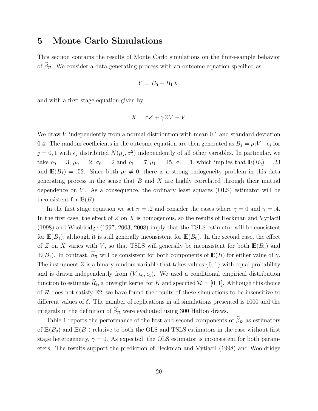### <span id="page-20-1"></span><span id="page-20-0"></span>5 Monte Carlo Simulations

This section contains the results of Monte Carlo simulations on the finite-sample behavior of  $\beta_{\mathcal{R}}$ . We consider a data generating process with an outcome equation specified as

$$
Y = B_0 + B_1 X,
$$

and with a first stage equation given by

$$
X = \pi Z + \gamma Z V + V.
$$

We draw *V* independently from a normal distribution with mean 0*.*1 and standard deviation 0.4. The random coefficients in the outcome equation are then generated as  $B_j = \rho_j V + \epsilon_j$  for  $j = 0, 1$  with  $\epsilon_j$  distributed  $N(\mu_j, \sigma_j^2)$  independently of all other variables. In particular, we take  $\rho_0 = .3$ ,  $\mu_0 = .2$ ,  $\sigma_0 = .2$  and  $\rho_1 = .7$ ,  $\mu_1 = .45$ ,  $\sigma_1 = 1$ , which implies that  $\mathbb{E}(B_0) = .23$ and  $\mathbb{E}(B_1) = .52$ . Since both  $\rho_j \neq 0$ , there is a strong endogeneity problem in this data generating process in the sense that *B* and *X* are highly correlated through their mutual dependence on *V* . As a consequence, the ordinary least squares (OLS) estimator will be inconsistent for **E**(*B*).

In the first stage equation we set  $\pi = .2$  and consider the cases where  $\gamma = 0$  and  $\gamma = .4$ . In the first case, the effect of *Z* on *X* is homogenous, so the results of [Heckman and Vytlacil](#page-36-2) [\(1998\)](#page-36-2) and [Wooldridge](#page-38-0) [\(1997,](#page-38-0) [2003,](#page-38-1) [2008\)](#page-38-2) imply that the TSLS estimator will be consistent for  $\mathbb{E}(B_1)$ , although it is still generally inconsistent for  $\mathbb{E}(B_0)$ . In the second case, the effect of *Z* on *X* varies with *V*, so that TSLS will generally be inconsistent for both  $E(B_0)$  and  $\mathbb{E}(B_1)$ . In contrast,  $\beta_{\mathcal{R}}$  will be consistent for both components of  $\mathbb{E}(B)$  for either value of  $\gamma$ . The instrument *Z* is a binary random variable that takes values  $\{0, 1\}$  with equal probability and is drawn independently from  $(V, \epsilon_0, \epsilon_1)$ . We used a conditional empirical distribution function to estimate  $\widehat{R}_i$ , a biweight kernel for *K* and specified  $\mathcal{R} = [0, 1]$ . Although this choice of  $R$  does not satisfy [E2,](#page-16-2) we have found the results of these simulations to be insensitive to different values of  $\delta$ . The number of replications in all simulations presented is 1000 and the integrals in the definition of  $\beta_{\mathcal{R}}$  were evaluated using 300 Halton draws.

Table [1](#page-39-0) reports the performance of the first and second components of  $\beta_{\mathcal{R}}$  as estimators of  $\mathbb{E}(B_0)$  and  $\mathbb{E}(B_1)$  relative to both the OLS and TSLS estimators in the case without first stage heterogeneity,  $\gamma = 0$ . As expected, the OLS estimator is inconsistent for both parameters. The results support the prediction of [Heckman and Vytlacil](#page-36-2) [\(1998\)](#page-36-2) and [Wooldridge](#page-38-0)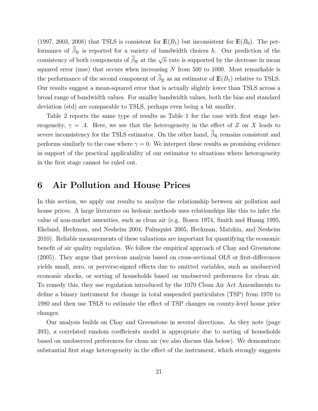<span id="page-21-1"></span>[\(1997,](#page-38-0) [2003,](#page-38-1) [2008\)](#page-38-2) that TSLS is consistent for  $E(B_1)$  but inconsistent for  $E(B_0)$ . The performance of  $\beta_{\mathcal{R}}$  is reported for a variety of bandwidth choices *h*. Our prediction of the consistency of both components of  $\widehat{\beta}_{\mathcal{R}}$  at the  $\sqrt{n}$  rate is supported by the decrease in mean squared error (mse) that occurs when increasing *N* from 500 to 1000. Most remarkable is the performance of the second component of  $\beta_{\mathcal{R}}$  as an estimator of  $\mathbb{E}(B_1)$  relative to TSLS. Our results suggest a mean-squared error that is actually slightly lower than TSLS across a broad range of bandwidth values. For smaller bandwidth values, both the bias and standard deviation (std) are comparable to TSLS, perhaps even being a bit smaller.

Table [2](#page-40-0) reports the same type of results as Table [1](#page-39-0) for the case with first stage heterogeneity,  $\gamma = .4$ . Here, we see that the heterogeneity in the effect of *Z* on *X* leads to severe inconsistency for the TSLS estimator. On the other hand,  $\beta_{\mathcal{R}}$  remains consistent and performs similarly to the case where  $\gamma = 0$ . We interpret these results as promising evidence in support of the practical applicability of our estimator to situations where heterogeneity in the first stage cannot be ruled out.

### <span id="page-21-0"></span>6 Air Pollution and House Prices

In this section, we apply our results to analyze the relationship between air pollution and house prices. A large literature on hedonic methods uses relationships like this to infer the value of non-market amenities, such as clean air (e.g. [Rosen](#page-37-12) [1974,](#page-37-12) [Smith and Huang](#page-38-7) [1995,](#page-38-7) [Ekeland, Heckman, and Nesheim](#page-36-8) [2004,](#page-36-8) [Palmquist](#page-37-13) [2005,](#page-37-13) [Heckman, Matzkin, and Nesheim](#page-36-9) [2010\)](#page-36-9). Reliable measurements of these valuations are important for quantifying the economic benefit of air quality regulation. We follow the empirical approach of [Chay and Greenstone](#page-35-7)  $(2005)$ . They argue that previous analysis based on cross-sectional OLS or first-differences yields small, zero, or perverse-signed effects due to omitted variables, such as unobserved economic shocks, or sorting of households based on unobserved preferences for clean air. To remedy this, they use regulation introduced by the 1970 Clean Air Act Amendments to define a binary instrument for change in total suspended particulates (TSP) from 1970 to 1980 and then use TSLS to estimate the effect of TSP changes on county-level house price changes.

Our analysis builds on Chay and Greenstone in several directions. As they note (page 393), a correlated random coefficients model is appropriate due to sorting of households based on unobserved preferences for clean air (we also discuss this below). We demonstrate substantial first stage heterogeneity in the effect of the instrument, which strongly suggests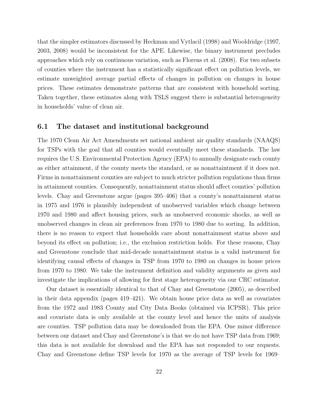<span id="page-22-0"></span>that the simpler estimators discussed by [Heckman and Vytlacil](#page-36-2) [\(1998\)](#page-36-2) and [Wooldridge](#page-38-0) [\(1997,](#page-38-0) [2003,](#page-38-1) [2008\)](#page-38-2) would be inconsistent for the APE. Likewise, the binary instrument precludes approaches which rely on continuous variation, such as [Florens et al.](#page-36-3) [\(2008\)](#page-36-3). For two subsets of counties where the instrument has a statistically significant effect on pollution levels, we estimate unweighted average partial effects of changes in pollution on changes in house prices. These estimates demonstrate patterns that are consistent with household sorting. Taken together, these estimates along with TSLS suggest there is substantial heterogeneity in households' value of clean air.

#### 6.1 The dataset and institutional background

The 1970 Clean Air Act Amendments set national ambient air quality standards (NAAQS) for TSPs with the goal that all counties would eventually meet these standards. The law requires the U.S. Environmental Protection Agency (EPA) to annually designate each county as either attainment, if the county meets the standard, or as nonattaintment if it does not. Firms in nonattainment counties are subject to much stricter pollution regulations than firms in attainment counties. Consequently, nonattainment status should affect counties' pollution levels. Chay and Greenstone argue (pages 395–406) that a county's nonattainment status in 1975 and 1976 is plausibly independent of unobserved variables which change between 1970 and 1980 and affect housing prices, such as unobserved economic shocks, as well as unobserved changes in clean air preferences from 1970 to 1980 due to sorting. In addition, there is no reason to expect that households care about nonattainment status above and beyond its effect on pollution; i.e., the exclusion restriction holds. For these reasons, Chay and Greenstone conclude that mid-decade nonattaintment status is a valid instrument for identifying causal effects of changes in TSP from 1970 to 1980 on changes in house prices from 1970 to 1980. We take the instrument definition and validity arguments as given and investigate the implications of allowing for first stage heterogeneity via our CRC estimator.

Our dataset is essentially identical to that of [Chay and Greenstone](#page-35-7) [\(2005\)](#page-35-7), as described in their data appendix (pages 419–421). We obtain house price data as well as covariates from the 1972 and 1983 County and City Data Books (obtained via ICPSR). This price and covariate data is only available at the county level and hence the units of analysis are counties. TSP pollution data may be downloaded from the EPA. One minor difference between our dataset and Chay and Greenstone's is that we do not have TSP data from 1969; this data is not available for download and the EPA has not responded to our requests. Chay and Greenstone define TSP levels for 1970 as the average of TSP levels for 1969–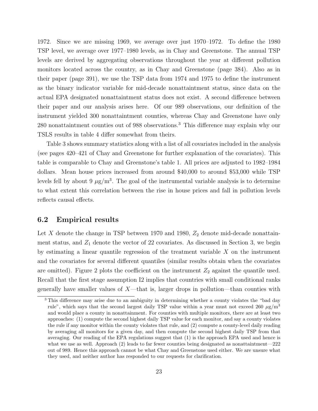1972. Since we are missing 1969, we average over just 1970–1972. To define the 1980 TSP level, we average over 1977–1980 levels, as in Chay and Greenstone. The annual TSP levels are derived by aggregating observations throughout the year at different pollution monitors located across the country, as in Chay and Greenstone (page 384). Also as in their paper (page 391), we use the TSP data from 1974 and 1975 to define the instrument as the binary indicator variable for mid-decade nonattaintment status, since data on the actual EPA designated nonattaintment status does not exist. A second difference between their paper and our analysis arises here. Of our 989 observations, our definition of the instrument yielded 300 nonattaintment counties, whereas Chay and Greenstone have only 280 nonattaintment counties out of 988 observations.<sup>[3](#page-23-0)</sup> This difference may explain why our TSLS results in table [4](#page-42-0) differ somewhat from theirs.

Table [3](#page-41-0) shows summary statistics along with a list of all covariates included in the analysis (see pages 420–421 of Chay and Greenstone for further explanation of the covariates). This table is comparable to Chay and Greenstone's table 1. All prices are adjusted to 1982–1984 dollars. Mean house prices increased from around \$40,000 to around \$53,000 while TSP levels fell by about 9  $\mu$ g/m<sup>3</sup>. The goal of the instrumental variable analysis is to determine to what extent this correlation between the rise in house prices and fall in pollution levels reflects causal effects.

#### 6.2 Empirical results

Let  $X$  denote the change in TSP between 1970 and 1980,  $Z_2$  denote mid-decade nonattainment status, and  $Z_1$  denote the vector of 22 covariates. As discussed in Section [3,](#page-12-0) we begin by estimating a linear quantile regression of the treatment variable *X* on the instrument and the covariates for several different quantiles (similar results obtain when the covariates are omitted). Figure [2](#page-24-0) plots the coefficient on the instrument  $Z_2$  against the quantile used. Recall that the first stage assumption [I2](#page-6-0) implies that countries with small conditional ranks generally have smaller values of *X*—that is, larger drops in pollution—than counties with

<span id="page-23-0"></span><sup>&</sup>lt;sup>3</sup> This difference may arise due to an ambiguity in determining whether a county violates the "bad day" rule", which says that the second largest daily TSP value within a year must not exceed  $260 \mu g/m^3$ and would place a county in nonattainment. For counties with multiple monitors, there are at least two approaches: (1) compute the second highest daily TSP value for each monitor, and say a county violates the rule if any monitor within the county violates that rule, and (2) compute a county-level daily reading by averaging all monitors for a given day, and then compute the second highest daily TSP from that averaging. Our reading of the EPA regulations suggest that (1) is the approach EPA used and hence is what we use as well. Approach (2) leads to far fewer counties being designated as nonattaintment—222 out of 989. Hence this approach cannot be what Chay and Greenstone used either. We are unsure what they used, and neither author has responded to our requests for clarification.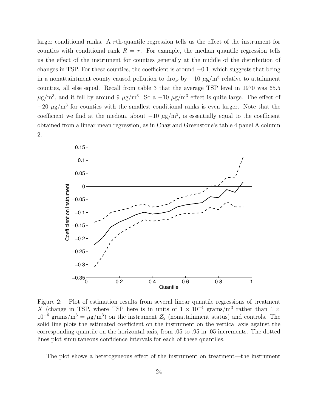larger conditional ranks. A *r*th-quantile regression tells us the effect of the instrument for counties with conditional rank  $R = r$ . For example, the median quantile regression tells us the effect of the instrument for counties generally at the middle of the distribution of changes in TSP. For these counties, the coefficient is around  $-0.1$ , which suggests that being in a nonattaintment county caused pollution to drop by  $-10 \mu g/m^3$  relative to attainment counties, all else equal. Recall from table [3](#page-41-0) that the average TSP level in 1970 was 65.5  $\mu$ g/m<sup>3</sup>, and it fell by around 9  $\mu$ g/m<sup>3</sup>. So a -10  $\mu$ g/m<sup>3</sup> effect is quite large. The effect of  $-20 \mu$ g/m<sup>3</sup> for counties with the smallest conditional ranks is even larger. Note that the coefficient we find at the median, about  $-10 \mu g/m^3$ , is essentially equal to the coefficient obtained from a linear mean regression, as in Chay and Greenstone's table 4 panel A column 2.



<span id="page-24-0"></span>Figure 2: Plot of estimation results from several linear quantile regressions of treatment *X* (change in TSP, where TSP here is in units of  $1 \times 10^{-4}$  grams/m<sup>3</sup> rather than  $1 \times$  $10^{-6}$  grams/m<sup>3</sup> =  $\mu$ g/m<sup>3</sup>) on the instrument  $Z_2$  (nonattainment status) and controls. The solid line plots the estimated coefficient on the instrument on the vertical axis against the corresponding quantile on the horizontal axis, from *.*05 to *.*95 in *.*05 increments. The dotted lines plot simultaneous confidence intervals for each of these quantiles.

The plot shows a heterogeneous effect of the instrument on treatment—the instrument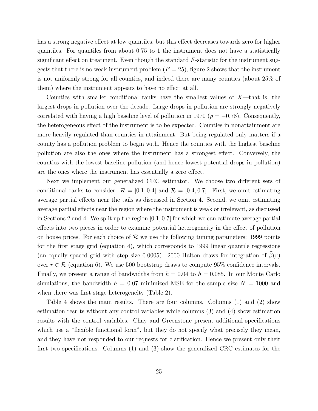has a strong negative effect at low quantiles, but this effect decreases towards zero for higher quantiles. For quantiles from about 0.75 to 1 the instrument does not have a statistically significant effect on treatment. Even though the standard *F*-statistic for the instrument suggests that there is no weak instrument problem  $(F = 25)$  $(F = 25)$  $(F = 25)$ , figure 2 shows that the instrument is not uniformly strong for all counties, and indeed there are many counties (about 25% of them) where the instrument appears to have no effect at all.

Counties with smaller conditional ranks have the smallest values of *X*—that is, the largest drops in pollution over the decade. Large drops in pollution are strongly negatively correlated with having a high baseline level of pollution in 1970 ( $\rho = -0.78$ ). Consequently, the heterogeneous effect of the instrument is to be expected. Counties in nonattainment are more heavily regulated than counties in attainment. But being regulated only matters if a county has a pollution problem to begin with. Hence the counties with the highest baseline pollution are also the ones where the instrument has a strongest effect. Conversely, the counties with the lowest baseline pollution (and hence lowest potential drops in pollution) are the ones where the instrument has essentially a zero effect.

Next we implement our generalized CRC estimator. We choose two different sets of conditional ranks to consider:  $\mathcal{R} = [0.1, 0.4]$  and  $\mathcal{R} = [0.4, 0.7]$ . First, we omit estimating average partial effects near the tails as discussed in Section [4.](#page-15-0) Second, we omit estimating average partial effects near the region where the instrument is weak or irrelevant, as discussed in Sections [2](#page-5-1) and [4.](#page-15-0) We split up the region [0*.*1*,* 0*.*7] for which we can estimate average partial effects into two pieces in order to examine potential heterogeneity in the effect of pollution on house prices. For each choice of  $R$  we use the following tuning parameters: 1999 points for the first stage grid (equation [4\)](#page-13-0), which corresponds to 1999 linear quantile regressions (an equally spaced grid with step size 0.0005). 2000 Halton draws for integration of  $\beta(r)$ over  $r \in \mathcal{R}$  (equation [6\)](#page-14-1). We use 500 bootstrap draws to compute 95% confidence intervals. Finally, we present a range of bandwidths from  $h = 0.04$  to  $h = 0.085$ . In our Monte Carlo simulations, the bandwidth  $h = 0.07$  minimized MSE for the sample size  $N = 1000$  and when there was first stage heterogeneity (Table [2\)](#page-40-0).

Table [4](#page-42-0) shows the main results. There are four columns. Columns (1) and (2) show estimation results without any control variables while columns (3) and (4) show estimation results with the control variables. Chay and Greenstone present additional specifications which use a "flexible functional form", but they do not specify what precisely they mean, and they have not responded to our requests for clarification. Hence we present only their first two specifications. Columns (1) and (3) show the generalized CRC estimates for the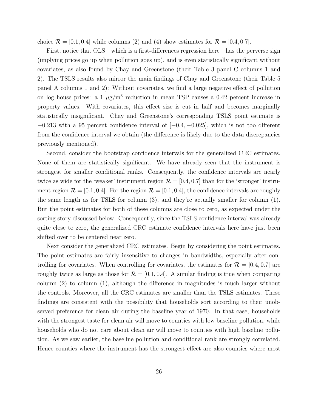choice  $\mathcal{R} = [0.1, 0.4]$  while columns (2) and (4) show estimates for  $\mathcal{R} = [0.4, 0.7]$ .

First, notice that OLS—which is a first-differences regression here—has the perverse sign (implying prices go up when pollution goes up), and is even statistically significant without covariates, as also found by Chay and Greenstone (their Table 3 panel C columns 1 and 2). The TSLS results also mirror the main findings of Chay and Greenstone (their Table 5 panel A columns 1 and 2): Without covariates, we find a large negative effect of pollution on log house prices: a 1  $\mu$ g/m<sup>3</sup> reduction in mean TSP causes a 0.42 percent increase in property values. With covariates, this effect size is cut in half and becomes marginally statistically insignificant. Chay and Greenstone's corresponding TSLS point estimate is  $-0.213$  with a 95 percent confidence interval of  $[-0.4, -0.025]$ , which is not too different from the confidence interval we obtain (the difference is likely due to the data discrepancies previously mentioned).

Second, consider the bootstrap confidence intervals for the generalized CRC estimates. None of them are statistically significant. We have already seen that the instrument is strongest for smaller conditional ranks. Consequently, the confidence intervals are nearly twice as wide for the 'weaker' instrument region  $\mathcal{R} = [0.4, 0.7]$  than for the 'stronger' instrument region  $\mathcal{R} = [0.1, 0.4]$ . For the region  $\mathcal{R} = [0.1, 0.4]$ , the confidence intervals are roughly the same length as for TSLS for column (3), and they're actually smaller for column (1). But the point estimates for both of these columns are close to zero, as expected under the sorting story discussed below. Consequently, since the TSLS confidence interval was already quite close to zero, the generalized CRC estimate confidence intervals here have just been shifted over to be centered near zero.

Next consider the generalized CRC estimates. Begin by considering the point estimates. The point estimates are fairly insensitive to changes in bandwidths, especially after controlling for covariates. When controlling for covariates, the estimates for  $\mathcal{R} = [0.4, 0.7]$  are roughly twice as large as those for  $\mathcal{R} = [0.1, 0.4]$ . A similar finding is true when comparing column  $(2)$  to column  $(1)$ , although the difference in magnitudes is much larger without the controls. Moreover, all the CRC estimates are smaller than the TSLS estimates. These findings are consistent with the possibility that households sort according to their unobserved preference for clean air during the baseline year of 1970. In that case, households with the strongest taste for clean air will move to counties with low baseline pollution, while households who do not care about clean air will move to counties with high baseline pollution. As we saw earlier, the baseline pollution and conditional rank are strongly correlated. Hence counties where the instrument has the strongest effect are also counties where most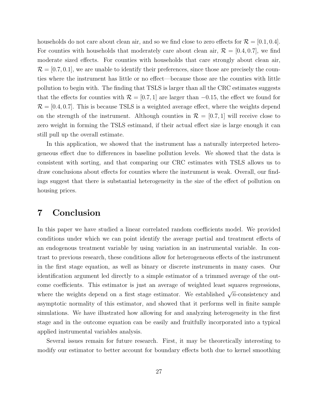households do not care about clean air, and so we find close to zero effects for  $\mathcal{R} = [0.1, 0.4]$ . For counties with households that moderately care about clean air,  $\mathcal{R} = [0.4, 0.7]$ , we find moderate sized effects. For counties with households that care strongly about clean air.  $\mathcal{R} = [0.7, 0.1]$ , we are unable to identify their preferences, since those are precisely the counties where the instrument has little or no effect—because those are the counties with little pollution to begin with. The finding that TSLS is larger than all the CRC estimates suggests that the effects for counties with  $\mathcal{R} = [0.7, 1]$  are larger than  $-0.15$ , the effect we found for  $\mathcal{R} = [0.4, 0.7]$ . This is because TSLS is a weighted average effect, where the weights depend on the strength of the instrument. Although counties in  $\mathcal{R} = [0.7, 1]$  will receive close to zero weight in forming the TSLS estimand, if their actual effect size is large enough it can still pull up the overall estimate.

In this application, we showed that the instrument has a naturally interpreted heterogeneous effect due to differences in baseline pollution levels. We showed that the data is consistent with sorting, and that comparing our CRC estimates with TSLS allows us to draw conclusions about effects for counties where the instrument is weak. Overall, our findings suggest that there is substantial heterogeneity in the size of the effect of pollution on housing prices.

### <span id="page-27-0"></span>7 Conclusion

In this paper we have studied a linear correlated random coefficients model. We provided conditions under which we can point identify the average partial and treatment effects of an endogenous treatment variable by using variation in an instrumental variable. In contrast to previous research, these conditions allow for heterogeneous effects of the instrument in the first stage equation, as well as binary or discrete instruments in many cases. Our identification argument led directly to a simple estimator of a trimmed average of the outcome coefficients. This estimator is just an average of weighted least squares regressions, where the weights depend on a first stage estimator. We established  $\sqrt{n}$ -consistency and asymptotic normality of this estimator, and showed that it performs well in finite sample simulations. We have illustrated how allowing for and analyzing heterogeneity in the first stage and in the outcome equation can be easily and fruitfully incorporated into a typical applied instrumental variables analysis.

Several issues remain for future research. First, it may be theoretically interesting to modify our estimator to better account for boundary effects both due to kernel smoothing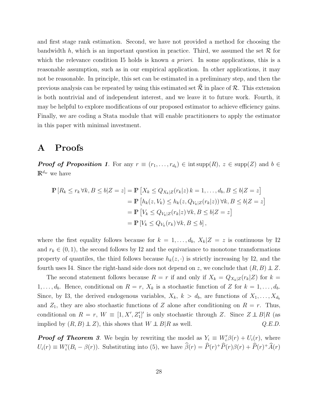and first stage rank estimation. Second, we have not provided a method for choosing the bandwidth *h*, which is an important question in practice. Third, we assumed the set  $R$  for which the relevance condition [I5](#page-7-2) holds is known *a priori*. In some applications, this is a reasonable assumption, such as in our empirical application. In other applications, it may not be reasonable. In principle, this set can be estimated in a preliminary step, and then the previous analysis can be repeated by using this estimated set  $\hat{\mathcal{R}}$  in place of  $\mathcal{R}$ . This extension is both nontrivial and of independent interest, and we leave it to future work. Fourth, it may be helpful to explore modifications of our proposed estimator to achieve efficiency gains. Finally, we are coding a Stata module that will enable practitioners to apply the estimator in this paper with minimal investment.

### <span id="page-28-0"></span>A Proofs

*Proof of Proposition [1](#page-7-1).* For any  $r \equiv (r_1, \ldots, r_{d_b}) \in \text{int supp}(R)$ ,  $z \in \text{supp}(Z)$  and  $b \in$  $\mathbb{R}^{d_w}$  we have

$$
\mathbb{P}\left[R_k \le r_k \forall k, B \le b | Z = z\right] = \mathbb{P}\left[X_k \le Q_{X_k|Z}(r_k|z) \, k = 1, \dots, d_b, B \le b | Z = z\right]
$$
\n
$$
= \mathbb{P}\left[h_k(z, V_k) \le h_k(z, Q_{V_k|Z}(r_k|z)) \, \forall k, B \le b | Z = z\right]
$$
\n
$$
= \mathbb{P}\left[V_k \le Q_{V_k|Z}(r_k|z) \, \forall k, B \le b | Z = z\right]
$$
\n
$$
= \mathbb{P}\left[V_k \le Q_{V_k}(r_k) \, \forall k, B \le b\right],
$$

where the first equality follows because for  $k = 1, \ldots, d_b$ ,  $X_k | Z = z$  is continuous by [I2](#page-6-0) and  $r_k \in (0, 1)$ , the second follows by [I2](#page-6-0) and the equivariance to monotone transformations property of quantiles, the third follows because  $h_k(z, \cdot)$  is strictly increasing by [I2,](#page-6-0) and the fourth uses [I4.](#page-6-1) Since the right-hand side does not depend on *z*, we conclude that  $(R, B) \perp Z$ .

The second statement follows because  $R = r$  if and only if  $X_k = Q_{X_k|Z}(r_k|Z)$  for  $k =$ 1,...,d<sub>b</sub>. Hence, conditional on  $R = r$ ,  $X_k$  is a stochastic function of Z for  $k = 1, \ldots, d_b$ . Since, by [I3,](#page-6-2) the derived endogenous variables,  $X_k$ ,  $k > d_b$ , are functions of  $X_1, \ldots, X_{d_b}$ and  $Z_1$ , they are also stochastic functions of  $Z$  alone after conditioning on  $R = r$ . Thus, conditional on  $R = r$ ,  $W = [1, X', Z_1']'$  is only stochastic through *Z*. Since  $Z \perp \!\!\!\perp B | R$  (as implied by  $(R, B) \perp Z$ , this shows that  $W \perp B | R$  as well.  $Q.E.D.$ 

*Proof of Theorem [3](#page-15-1).* **We begin by rewriting the model as**  $Y_i \equiv W_i' \beta(r) + U_i(r)$ **, where**  $U_i(r) \equiv W_i'(B_i - \beta(r))$ . Substituting into [\(5\)](#page-13-1), we have  $\beta(r) = \hat{P}(r)^+ \hat{P}(r)\beta(r) + \hat{P}(r)^+ \hat{A}(r)$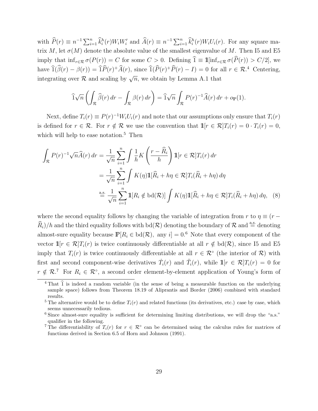<span id="page-29-5"></span>with  $\widehat{P}(r) \equiv n^{-1} \sum_{i=1}^n \widehat{k}_i^h(r) W_i W_i'$  and  $\widehat{A}(r) \equiv n^{-1} \sum_{i=1}^n \widehat{k}_i^h(r) W_i U_i(r)$ . For any square matrix *M*, let  $\sigma(M)$  denote the absolute value of the smallest eigenvalue of *M*. Then [I5](#page-7-2) and [E5](#page-16-6) imply that  $\inf_{r \in \mathcal{R}} \sigma(P(r)) = C$  for some  $C > 0$ . Defining  $\hat{1} \equiv \mathbb{1}[\inf_{r \in \mathcal{R}} \sigma(\hat{P}(r)) > C/2]$ , we have  $\hat{1}(\hat{\beta}(r) - \beta(r)) = \hat{1}P(r)^{+}\hat{A}(r)$ , since  $\hat{1}(P(r)^{+}P(r) - I) = 0$  for all  $r \in \mathcal{R}^4$  $r \in \mathcal{R}^4$ . Centering, integrating over  $\mathcal R$  and scaling by  $\sqrt{n}$ , we obtain by Lemma [A.1](#page-33-0) that

<span id="page-29-4"></span>
$$
\widehat{1}\sqrt{n}\left(\int_{\mathcal{R}}\widehat{\beta}(r)\,dr-\int_{\mathcal{R}}\beta(r)\,dr\right)=\widehat{1}\sqrt{n}\int_{\mathcal{R}}P(r)^{-1}\widehat{A}(r)\,dr+o_{\mathbb{P}}(1).
$$

Next, define  $T_i(r) \equiv P(r)^{-1}W_iU_i(r)$  and note that our assumptions only ensure that  $T_i(r)$ is defined for  $r \in \mathcal{R}$ . For  $r \notin \mathcal{R}$  we use the convention that  $\mathbb{1}[r \in \mathcal{R}]T_i(r) = 0 \cdot T_i(r) = 0$ , which will help to ease notation.<sup>[5](#page-29-1)</sup> Then

$$
\int_{\mathcal{R}} P(r)^{-1} \sqrt{n} \widehat{A}(r) dr = \frac{1}{\sqrt{n}} \sum_{i=1}^{n} \int \frac{1}{h} K\left(\frac{r - \widehat{R}_{i}}{h}\right) \mathbb{1}[r \in \mathcal{R}] T_{i}(r) dr
$$

$$
= \frac{1}{\sqrt{n}} \sum_{i=1}^{n} \int K(\eta) \mathbb{1}[\widehat{R}_{i} + h\eta \in \mathcal{R}] T_{i}(\widehat{R}_{i} + h\eta) d\eta
$$

$$
\stackrel{\text{a.s.}}{=} \frac{1}{\sqrt{n}} \sum_{i=1}^{n} \mathbb{1}[R_{i} \notin \text{bd}(\mathcal{R})] \int K(\eta) \mathbb{1}[\widehat{R}_{i} + h\eta \in \mathcal{R}] T_{i}(\widehat{R}_{i} + h\eta) d\eta, \quad (8)
$$

where the second equality follows by changing the variable of integration from *r* to  $\eta \equiv (r - \frac{1}{2})$  $\widehat{R}_i$ )*/h* and the third equality follows with bd(*R*) denoting the boundary of *R* and  $\stackrel{a.s.}{=}$  denoting almost-sure equality because  $\mathbb{P}[R_i \in \text{bd}(\mathcal{R}), \text{ any } i] = 0.6$  $\mathbb{P}[R_i \in \text{bd}(\mathcal{R}), \text{ any } i] = 0.6$  Note that every component of the vector  $\mathbb{1}[r \in \mathcal{R}]T_i(r)$  is twice continuously differentiable at all  $r \notin \text{bd}(\mathcal{R})$ , since [I5](#page-7-2) and [E5](#page-16-6) imply that  $T_i(r)$  is twice continuously differentiable at all  $r \in \mathcal{R}^{\circ}$  (the interior of  $\mathcal{R}$ ) with first and second component-wise derivatives  $\ddot{T}_i(r)$  and  $\ddot{T}_i(r)$ , while  $\mathbb{1}[r \in \mathcal{R}]T_i(r) = 0$  for  $r \notin \mathcal{R}^{\mathcal{T}}$  For  $R_i \in \mathcal{R}^{\circ}$ , a second order element-by-element application of Young's form of

<span id="page-29-0"></span> $4$  That  $\hat{1}$  is indeed a random variable (in the sense of being a measurable function on the underlying sample space) follows from Theorem 18.19 of [Aliprantis and Border](#page-35-13) [\(2006\)](#page-35-13) combined with standard results.

<span id="page-29-1"></span><sup>&</sup>lt;sup>5</sup> The alternative would be to define  $T_i(r)$  and related functions (its derivatives, etc.) case by case, which seems unnecessarily tedious.

<span id="page-29-2"></span> $6$  Since almost-sure equality is sufficient for determining limiting distributions, we will drop the "a.s." qualifier in the following.

<span id="page-29-3"></span><sup>&</sup>lt;sup>7</sup>The differentiability of  $T_i(r)$  for  $r \in \mathcal{R}^{\circ}$  can be determined using the calculus rules for matrices of functions derived in Section 6.5 of [Horn and Johnson](#page-36-10) [\(1991\)](#page-36-10).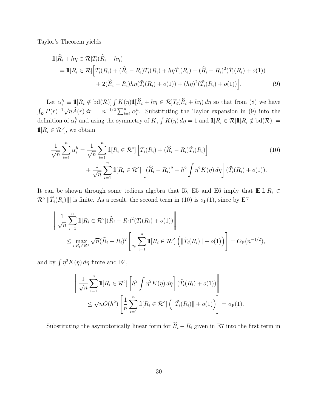Taylor's Theorem yields

<span id="page-30-0"></span>
$$
\begin{split} \mathbb{1}[\widehat{R}_i + h\eta \in \mathcal{R}] T_i(\widehat{R}_i + h\eta) \\ &= \mathbb{1}[R_i \in \mathcal{R}] \Big[ T_i(R_i) + (\widehat{R}_i - R_i)\dot{T}_i(R_i) + h\eta \dot{T}_i(R_i) + (\widehat{R}_i - R_i)^2 (\ddot{T}_i(R_i) + o(1)) \\ &+ 2(\widehat{R}_i - R_i)h\eta(\ddot{T}_i(R_i) + o(1)) + (h\eta)^2 (\ddot{T}_i(R_i) + o(1)) \Big]. \end{split} \tag{9}
$$

Let  $\alpha_i^h \equiv \mathbb{1}[R_i \notin \text{bd}(\mathcal{R})] \int K(\eta) \mathbb{1}[R_i + h\eta \in \mathcal{R}] T_i(\hat{R}_i + h\eta) d\eta$  so that from [\(8\)](#page-29-4) we have  $\int_{\mathcal{R}} P(r)^{-1} \sqrt{n} \widehat{A}(r) dr = n^{-1/2} \sum_{i=1}^{n} \alpha_i^h$ . Substituting the Taylor expansion in [\(9\)](#page-30-0) into the definition of  $\alpha_i^h$  and using the symmetry of K,  $\int K(\eta) d\eta = 1$  and  $\mathbb{1}[R_i \in \mathcal{R}]\mathbb{1}[R_i \notin \text{bd}(\mathcal{R})] =$  $\mathbb{1}[R_i \in \mathcal{R}^\circ],$  we obtain

<span id="page-30-1"></span>
$$
\frac{1}{\sqrt{n}} \sum_{i=1}^{n} \alpha_i^h = \frac{1}{\sqrt{n}} \sum_{i=1}^{n} \mathbb{1}[R_i \in \mathcal{R}^\circ] \left[ T_i(R_i) + (\widehat{R}_i - R_i) T_i(R_i) \right] \n+ \frac{1}{\sqrt{n}} \sum_{i=1}^{n} \mathbb{1}[R_i \in \mathcal{R}^\circ] \left[ (\widehat{R}_i - R_i)^2 + h^2 \int \eta^2 K(\eta) d\eta \right] (\ddot{T}_i(R_i) + o(1)).
$$
\n(10)

It can be shown through some tedious algebra that [I5,](#page-7-2) [E5](#page-16-6) and [E6](#page-16-7) imply that  $\mathbb{E}[\mathbb{1}]R_i \in$  $\mathcal{R}^{\circ}$ || $|\mathcal{T}_i(R_i)|$ || is finite. As a result, the second term in [\(10\)](#page-30-1) is  $o_{\mathbb{P}}(1)$ , since by [E7](#page-16-3)

$$
\left\| \frac{1}{\sqrt{n}} \sum_{i=1}^{n} \mathbb{1}[R_i \in \mathcal{R}^{\circ}](\widehat{R}_i - R_i)^2 (\ddot{T}_i(R_i) + o(1)) \right\|
$$
  

$$
\leq \max_{i: R_i \in \mathcal{R}^{\circ}} \sqrt{n}(\widehat{R}_i - R_i)^2 \left[ \frac{1}{n} \sum_{i=1}^{n} \mathbb{1}[R_i \in \mathcal{R}^{\circ}] \left( \| \ddot{T}_i(R_i) \| + o(1) \right) \right] = O_{\mathbb{P}}(n^{-1/2}),
$$

and by  $\int \eta^2 K(\eta) d\eta$  finite and [E4,](#page-16-5)

$$
\left\| \frac{1}{\sqrt{n}} \sum_{i=1}^n \mathbb{1}[R_i \in \mathcal{R}^\circ] \left[ h^2 \int \eta^2 K(\eta) d\eta \right] (\ddot{T}_i(R_i) + o(1)) \right\|
$$
  

$$
\leq \sqrt{n} O(h^2) \left[ \frac{1}{n} \sum_{i=1}^n \mathbb{1}[R_i \in \mathcal{R}^\circ] \left( \| \ddot{T}_i(R_i) \| + o(1) \right) \right] = o_{\mathbb{P}}(1).
$$

Substituting the asymptotically linear form for  $\hat{R}_i - R_i$  given in [E7](#page-16-3) into the first term in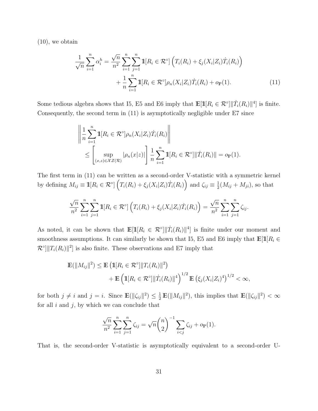[\(10\)](#page-30-1), we obtain

<span id="page-31-0"></span>
$$
\frac{1}{\sqrt{n}} \sum_{i=1}^{n} \alpha_i^h = \frac{\sqrt{n}}{n^2} \sum_{i=1}^{n} \sum_{j=1}^{n} \mathbb{1}[R_i \in \mathcal{R}^\circ] \left( T_i(R_i) + \xi_j(X_i|Z_i) \dot{T}_i(R_i) \right) + \frac{1}{n} \sum_{i=1}^{n} \mathbb{1}[R_i \in \mathcal{R}^\circ] \rho_n(X_i|Z_i) \dot{T}_i(R_i) + o_{\mathbb{P}}(1).
$$
(11)

Some tedious algebra shows that [I5,](#page-7-2) [E5](#page-16-6) and [E6](#page-16-7) imply that  $\mathbb{E}[\mathbb{1}[R_i \in \mathcal{R}^{\circ}] || \dot{T}_i(R_i) ||^4]$  is finite. Consequently, the second term in [\(11\)](#page-31-0) is asymptotically negligible under [E7](#page-16-3) since

$$
\left\| \frac{1}{n} \sum_{i=1}^{n} \mathbb{1}[R_i \in \mathcal{R}^\circ] \rho_n(X_i | Z_i) T_i(R_i) \right\|
$$
  

$$
\leq \left[ \sup_{(x,z) \in \mathcal{X} \mathcal{Z}(\mathcal{R})} |\rho_n(x|z)| \right] \frac{1}{n} \sum_{i=1}^{n} \mathbb{1}[R_i \in \mathcal{R}^\circ] \| T_i(R_i) \| = o_{\mathbb{P}}(1).
$$

The first term in [\(11\)](#page-31-0) can be written as a second-order V-statistic with a symmetric kernel by defining  $M_{ij} \equiv \mathbb{1}[R_i \in \mathcal{R}^\circ] \left( T_i(R_i) + \xi_j(X_i|Z_i) T_i(R_i) \right)$  and  $\zeta_{ij} \equiv \frac{1}{2}(M_{ij} + M_{ji})$ , so that

$$
\frac{\sqrt{n}}{n^2} \sum_{i=1}^n \sum_{j=1}^n \mathbb{1}[R_i \in \mathcal{R}^\circ] \left( T_i(R_i) + \xi_j(X_i|Z_i) \dot{T}_i(R_i) \right) = \frac{\sqrt{n}}{n^2} \sum_{i=1}^n \sum_{j=1}^n \zeta_{ij}.
$$

As noted, it can be shown that  $\mathbb{E}[\mathbb{1}[R_i \in \mathcal{R}^\circ] \| \dot{T}_i(R_i) \|^4]$  is finite under our moment and smoothness assumptions. It can similarly be shown that [I5,](#page-7-2) [E5](#page-16-6) and [E6](#page-16-7) imply that  $\mathbb{E}[\mathbb{1}[R_i \in$  $\mathcal{R}^{\circ}$ || $T_i(R_i)$ ||<sup>2</sup>] is also finite. These observations and [E7](#page-16-3) imply that

$$
\mathbb{E}(\|M_{ij}\|^2) \leq \mathbb{E}(\mathbb{1}[R_i \in \mathcal{R}^\circ] \|T_i(R_i)\|^2) \n+ \mathbb{E}(\mathbb{1}[R_i \in \mathcal{R}^\circ] \|T_i(R_i)\|^4)^{1/2} \mathbb{E}(\xi_j(X_i|Z_i)^4)^{1/2} < \infty,
$$

for both  $j \neq i$  and  $j = i$ . Since  $\mathbb{E}(\|\zeta_{ij}\|^2) \leq \frac{1}{2} \mathbb{E}(\|M_{ij}\|^2)$ , this implies that  $\mathbb{E}(\|\zeta_{ij}\|^2) < \infty$ for all *i* and *j*, by which we can conclude that

$$
\frac{\sqrt{n}}{n^2} \sum_{i=1}^n \sum_{j=1}^n \zeta_{ij} = \sqrt{n} {n \choose 2}^{-1} \sum_{i < j} \zeta_{ij} + o_{\mathbb{P}}(1).
$$

That is, the second-order V-statistic is asymptotically equivalent to a second-order U-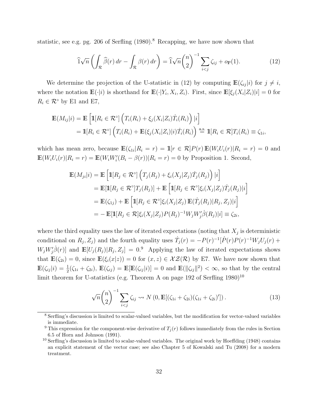<span id="page-32-5"></span>statistic, see e.g. pg. 206 of [Serfling](#page-38-8)  $(1980)$ .<sup>[8](#page-32-0)</sup> Recapping, we have now shown that

<span id="page-32-1"></span>
$$
\widehat{1}\sqrt{n}\left(\int_{\mathcal{R}}\widehat{\beta}(r)\,dr-\int_{\mathcal{R}}\beta(r)\,dr\right)=\widehat{1}\sqrt{n}\binom{n}{2}^{-1}\sum_{i
$$

We determine the projection of the U-statistic in [\(12\)](#page-32-1) by computing  $\mathbb{E}(\zeta_{ii}|i)$  for  $j \neq i$ , where the notation  $\mathbb{E}(\cdot|i)$  is shorthand for  $\mathbb{E}(\cdot|Y_i, X_i, Z_i)$ . First, since  $\mathbb{E}[\xi_j(X_i|Z_i)|i] = 0$  for  $R_i \in \mathcal{R}^{\circ}$  by [E1](#page-16-1) and [E7,](#page-16-3)

$$
\mathbb{E}(M_{ij}|i) = \mathbb{E}\left[\mathbb{1}[R_i \in \mathcal{R}^{\circ}]\left(T_i(R_i) + \xi_j(X_i|Z_i)\dot{T}_i(R_i)\right)|i\right]
$$
  
=  $\mathbb{1}[R_i \in \mathcal{R}^{\circ}]\left(T_i(R_i) + \mathbb{E}(\xi_j(X_i|Z_i)|i)\dot{T}_i(R_i)\right) \stackrel{\text{a.s.}}{=} \mathbb{1}[R_i \in \mathcal{R}]T_i(R_i) \equiv \zeta_{1i},$ 

which has mean zero, because  $\mathbb{E}(\zeta_{1i}|R_i=r) = \mathbb{1}[r \in \mathcal{R}]P(r)\mathbb{E}(W_iU_i(r)|R_i=r) = 0$  and  $\mathbb{E}(W_iU_i(r)|R_i=r) = \mathbb{E}(W_iW_i'(B_i-\beta(r))|R_i=r) = 0$  by Proposition [1.](#page-7-1) Second,

$$
\mathbb{E}(M_{ji}|i) = \mathbb{E}\left[\mathbb{1}[R_j \in \mathcal{R}^\circ] \left(T_j(R_j) + \xi_i(X_j|Z_j)\dot{T}_j(R_j)\right)|i\right]
$$
  
\n
$$
= \mathbb{E}[\mathbb{1}[R_j \in \mathcal{R}^\circ]T_j(R_j)] + \mathbb{E}\left[\mathbb{1}[R_j \in \mathcal{R}^\circ]\xi_i(X_j|Z_j)\dot{T}_j(R_j)|i\right]
$$
  
\n
$$
= \mathbb{E}(\zeta_{1j}) + \mathbb{E}\left[\mathbb{1}[R_j \in \mathcal{R}^\circ]\xi_i(X_j|Z_j)\mathbb{E}(\dot{T}_j(R_j)|R_j,Z_j)|i\right]
$$
  
\n
$$
= - \mathbb{E}[\mathbb{1}[R_j \in \mathcal{R}]\xi_i(X_j|Z_j)P(R_j)^{-1}W_jW_j'\dot{\beta}(R_j)|i] \equiv \zeta_{2i},
$$

where the third equality uses the law of iterated expectations (noting that  $X_i$  is deterministic conditional on  $R_j$ ,  $Z_j$ ) and the fourth equality uses  $\dot{T}_j(r) = -P(r)^{-1}[\dot{P}(r)P(r)^{-1}W_jU_j(r) +$  $W_j W'_j \dot{\beta}(r)$  and  $\mathbb{E}[U_j(R_j)|R_j, Z_j] = 0$ . Applying the law of iterated expectations shows that  $\mathbb{E}(\zeta_{2i}) = 0$ , since  $\mathbb{E}(\xi_i(x|z)) = 0$  for  $(x, z) \in \mathcal{XZ}(\mathcal{R})$  by [E7.](#page-16-3) We have now shown that  $\mathbb{E}(\zeta_{ij}|i) = \frac{1}{2}(\zeta_{1i} + \zeta_{2i}), \ \mathbb{E}(\zeta_{ij}) = \mathbb{E}[\mathbb{E}(\zeta_{ij}|i)] = 0 \text{ and } \mathbb{E}(\|\zeta_{ij}\|^2) < \infty$ , so that by the central limit theorem for U-statistics (e.g. Theorem A on page 192 of [Serfling](#page-38-8)  $1980)^{10}$  $1980)^{10}$  $1980)^{10}$  $1980)^{10}$ 

<span id="page-32-4"></span>
$$
\sqrt{n}\binom{n}{2}^{-1}\sum_{i (13)
$$

<span id="page-32-0"></span><sup>8</sup> Serfling's discussion is limited to scalar-valued variables, but the modification for vector-valued variables is immediate.

<span id="page-32-2"></span><sup>&</sup>lt;sup>9</sup> This expression for the component-wise derivative of  $T_j(r)$  follows immediately from the rules in Section 6.5 of [Horn and Johnson](#page-36-10) [\(1991\)](#page-36-10).

<span id="page-32-3"></span> $10$  Serfling's discussion is limited to scalar-valued variables. The original work by Hoeff[ding](#page-36-11) [\(1948\)](#page-36-11) contains an explicit statement of the vector case; see also Chapter 5 of [Kowalski and Tu](#page-37-14) [\(2008\)](#page-37-14) for a modern treatment.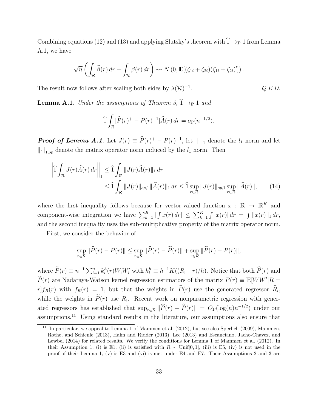<span id="page-33-3"></span>Combining equations [\(12\)](#page-32-1) and [\(13\)](#page-32-4) and applying Slutsky's theorem with  $\hat{1} \rightarrow_{\mathbb{P}} 1$  from Lemma [A.1,](#page-33-0) we have

$$
\sqrt{n}\left(\int_{\mathcal{R}}\widehat{\beta}(r)\,dr-\int_{\mathcal{R}}\beta(r)\,dr\right)\rightsquigarrow N\left(0,\mathbb{E}[(\zeta_{1i}+\zeta_{2i})(\zeta_{1i}+\zeta_{2i})']\right).
$$

The result now follows after scaling both sides by  $\lambda(\mathcal{R})^{-1}$ . *Q.E.D.* 

<span id="page-33-0"></span>**Lemma A.1.** *Under the assumptions of Theorem [3,](#page-15-1)*  $\hat{1} \rightarrow_{\mathbb{P}} 1$  *and* 

<span id="page-33-2"></span>
$$
\widehat{1}\int_{\mathcal{R}}[\widehat{P}(r)^{+}-P(r)^{-1}]\widehat{A}(r) dr = o_{\mathbb{P}}(n^{-1/2}).
$$

*Proof of Lemma [A.1](#page-33-0).* Let  $J(r) \equiv \hat{P}(r)^{+} - P(r)^{-1}$ , let  $\|\cdot\|_1$  denote the  $l_1$  norm and let  $\lVert \cdot \rVert_{1,op}$  denote the matrix operator norm induced by the  $l_1$  norm. Then

$$
\left\|\widehat{1}\int_{\mathcal{R}}J(r)\widehat{A}(r)dr\right\|_{1} \leq \widehat{1}\int_{\mathcal{R}}\|J(r)\widehat{A}(r)\|_{1} dr
$$
  

$$
\leq \widehat{1}\int_{\mathcal{R}}\|J(r)\|_{op,1}\|\widehat{A}(r)\|_{1} dr \leq \widehat{1}\sup_{r\in\mathcal{R}}\|J(r)\|_{op,1}\sup_{r\in\mathcal{R}}\|\widehat{A}(r)\|,
$$
 (14)

where the first inequality follows because for vector-valued function  $x : \mathbb{R} \to \mathbb{R}^K$  and component-wise integration we have  $\sum_{k=1}^{K} |f(x(r))| \le \sum_{k=1}^{K} |f(x(r))| \, dr = \int ||x(r)||_1 \, dr$ , and the second inequality uses the sub-multiplicative property of the matrix operator norm.

First, we consider the behavior of

$$
\sup_{r \in \mathcal{R}} \|\widehat{P}(r) - P(r)\| \le \sup_{r \in \mathcal{R}} \|\widehat{P}(r) - \widetilde{P}(r)\| + \sup_{r \in \mathcal{R}} \|\widetilde{P}(r) - P(r)\|,
$$

where  $\widetilde{P}(r) \equiv n^{-1} \sum_{i=1}^n k_i^h(r) W_i W_i'$  with  $k_i^h \equiv h^{-1} K((R_i - r)/h)$ . Notice that both  $\widehat{P}(r)$  and  $P(r)$  are Nadaraya-Watson kernel regression estimators of the matrix  $P(r) \equiv \mathbb{E}[WW'|R =$  $r|f_R(r)$  with  $f_R(r) = 1$ , but that the weights in  $\hat{P}(r)$  use the generated regressor  $\hat{R}_i$ , while the weights in  $\widetilde{P}(r)$  use  $R_i$ . Recent work on nonparametric regression with generated regressors has established that  $\sup_{r \in \mathcal{R}} ||\widehat{P}(r) - \widetilde{P}(r)|| = O_{\mathbb{P}}(\log(n)n^{-1/2})$  under our assumptions.[11](#page-33-1) Using standard results in the literature, our assumptions also ensure that

<span id="page-33-1"></span> $11$  In particular, we appeal to Lemma 1 of [Mammen et al.](#page-37-10) [\(2012\)](#page-37-10), but see also [Sperlich](#page-38-9) [\(2009\)](#page-38-9), [Mammen,](#page-37-15) [Rothe, and Schienle](#page-37-15) [\(2013\)](#page-37-15), [Hahn and Ridder](#page-36-12) [\(2013\)](#page-36-12), [Lee](#page-37-16) [\(2013\)](#page-37-16) and [Escanciano, Jacho-Chavez, and](#page-36-13) [Lewbel](#page-36-13) [\(2014\)](#page-36-13) for related results. We verify the conditions for Lemma 1 of [Mammen et al.](#page-37-10) [\(2012\)](#page-37-10). In their Assumption 1, (i) is [E1,](#page-16-1) (ii) is satisfied with  $R \sim$  Unif[0,1], (iii) is [E5,](#page-16-6) (iv) is not used in the proof of their Lemma 1, (v) is [E3](#page-16-4) and (vi) is met under [E4](#page-16-5) and [E7.](#page-16-3) Their Assumptions 2 and 3 are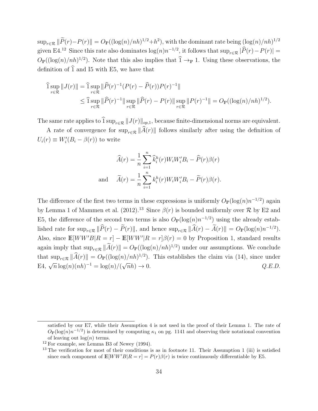<span id="page-34-2"></span> $\sup_{r \in \mathcal{R}} \|\widetilde{P}(r) - P(r)\| = O_P((\log(n)/nh)^{1/2} + h^2)$ , with the dominant rate being  $(\log(n)/nh)^{1/2}$ given [E4.](#page-16-5)<sup>[12](#page-34-0)</sup> Since this rate also dominates  $\log(n)n^{-1/2}$ , it follows that  $\sup_{r \in \mathcal{R}} |\widehat{P}(r) - P(r)| =$  $O_{\mathbb{P}}((\log(n)/nh)^{1/2})$ . Note that this also implies that  $\hat{1} \rightarrow_{\mathbb{P}} 1$ . Using these observations, the definition of  $\hat{1}$  and [I5](#page-7-2) with [E5,](#page-16-6) we have that

$$
\begin{split} \widehat{1} \sup_{r \in \mathcal{R}} \|J(r)\| &= \widehat{1} \sup_{r \in \mathcal{R}} \|\widehat{P}(r)^{-1}(P(r) - \widehat{P}(r))P(r)^{-1}\| \\ &\le \widehat{1} \sup_{r \in \mathcal{R}} \|\widehat{P}(r)^{-1}\| \sup_{r \in \mathcal{R}} \|\widehat{P}(r) - P(r)\| \sup_{r \in \mathcal{R}} \|P(r)^{-1}\| = O_{\mathbb{P}}((\log(n)/nh)^{1/2}). \end{split}
$$

The same rate applies to  $\widehat{1}$  sup<sub>*r*∈R</sub>  $||J(r)||_{op,1}$ , because finite-dimensional norms are equivalent.

A rate of convergence for  $\sup_{r\in\mathcal{R}}\|\widehat{A}(r)\|$  follows similarly after using the definition of  $U_i(r) \equiv W_i'(B_i - \beta(r))$  to write

$$
\widehat{A}(r) = \frac{1}{n} \sum_{i=1}^{n} \widehat{k}_i^h(r) W_i W_i' B_i - \widehat{P}(r) \beta(r)
$$
  
and 
$$
\widetilde{A}(r) = \frac{1}{n} \sum_{i=1}^{n} k_i^h(r) W_i W_i' B_i - \widetilde{P}(r) \beta(r).
$$

The difference of the first two terms in these expressions is uniformly  $O_P(\log(n)n^{-1/2})$  again by Lemma 1 of [Mammen et al.](#page-37-10) [\(2012\)](#page-37-10).<sup>[13](#page-34-1)</sup> Since  $\beta(r)$  is bounded uniformly over  $\mathcal R$  by [E2](#page-16-2) and [E5,](#page-16-6) the difference of the second two terms is also  $O_P(\log(n)n^{-1/2})$  using the already established rate for  $\sup_{r \in \mathcal{R}} \|\widehat{P}(r) - \widetilde{P}(r)\|$ , and hence  $\sup_{r \in \mathcal{R}} \|\widehat{A}(r) - \widetilde{A}(r)\| = O_{\mathbb{P}}(\log(n)n^{-1/2})$ . Also, since  $\mathbb{E}[WW'B|R = r] - \mathbb{E}[WW'|R = r]\beta(r) = 0$  by Proposition [1,](#page-7-1) standard results again imply that  $\sup_{r \in \mathcal{R}} ||\widetilde{A}(r)|| = O_{\mathbb{P}}((\log(n)/nh)^{1/2})$  under our assumptions. We conclude that  $\sup_{r \in \mathcal{R}} ||\widehat{A}(r)|| = O_{\mathbb{P}}((\log(n)/nh)^{1/2})$ . This establishes the claim via [\(14\)](#page-33-2), since under [E4,](#page-16-5)  $\sqrt{n} \log(n) (nh)^{-1} = \log(n) / (\sqrt{n}h) \to 0.$  *Q.E.D.* 

satisfied by our [E7,](#page-16-3) while their Assumption 4 is not used in the proof of their Lemma 1. The rate of  $O_{\mathbb{P}}(\log(n)n^{-1/2})$  is determined by computing  $\kappa_1$  on pg. 1141 and observing their notational convention of leaving out  $log(n)$  terms.

<span id="page-34-0"></span> $12$  For example, see Lemma B3 of [Newey](#page-37-17) [\(1994\)](#page-37-17).

<span id="page-34-1"></span><sup>&</sup>lt;sup>13</sup> The verification for most of their conditions is as in footnote [11.](#page-33-1) Their Assumption 1 (iii) is satisfied since each component of  $\mathbb{E}[WW'B|R=r] = P(r)\beta(r)$  is twice continuously differentiable by [E5.](#page-16-6)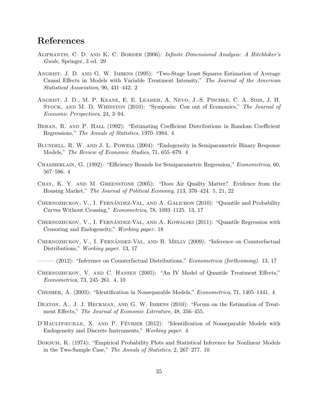### References

- <span id="page-35-13"></span>Aliprantis, C. D. and K. C. Border (2006): *Infinite Dimensional Analysis: A Hitchhiker's Guide*, Springer, 3 ed. [29](#page-29-5)
- <span id="page-35-0"></span>ANGRIST, J. D. AND G. W. IMBENS (1995): "Two-Stage Least Squares Estimation of Average Causal E↵ects in Models with Variable Treatment Intensity," *The Journal of the American Statistical Association*, 90, 431–442. [2](#page-2-1)
- Angrist, J. D., M. P. Keane, E. E. Leamer, A. Nevo, J.-S. Pischke, C. A. Sims, J. H. Stock, and M. D. Whinston (2010): "Symposia: Con out of Economics," *The Journal of Economic Perspectives*, 24, 3–94.
- <span id="page-35-5"></span>BERAN, R. AND P. HALL (1992): "Estimating Coefficient Distributions in Random Coefficient Regressions," *The Annals of Statistics*, 1970–1984. [4](#page-4-0)
- <span id="page-35-6"></span>Blundell, R. W. and J. L. Powell (2004): "Endogeneity in Semiparametric Binary Response Models," *The Review of Economic Studies*, 71, 655–679. [4](#page-4-0)
- <span id="page-35-4"></span>Chamberlain, G. (1992): "Eciency Bounds for Semiparametric Regression," *Econometrica*, 60, 567–596. [4](#page-4-0)
- <span id="page-35-7"></span>Chay, K. Y. and M. Greenstone (2005): "Does Air Quality Matter? Evidence from the Housing Market," *The Journal of Political Economy*, 113, 376–424. [5,](#page-5-2) [21,](#page-21-1) [22](#page-22-0)
- <span id="page-35-9"></span>CHERNOZHUKOV, V., I. FERNÁNDEZ-VAL, AND A. GALICHON  $(2010)$ : "Quantile and Probability Curves Without Crossing," *Econometrica*, 78, 1093–1125. [13,](#page-13-2) [17](#page-17-0)
- <span id="page-35-12"></span>CHERNOZHUKOV, V., I. FERNÁNDEZ-VAL, AND A. KOWALSKI  $(2011)$ : "Quantile Regression with Censoring and Endogeneity," *Working paper*. [18](#page-18-1)
- <span id="page-35-10"></span>CHERNOZHUKOV, V., I. FERNÁNDEZ-VAL, AND B. MELLY (2009): "Inference on Counterfactual Distributions," *Working paper*. [13,](#page-13-2) [17](#page-17-0)
- <span id="page-35-11"></span>——— (2012): "Inference on Counterfactual Distributions," *Econometrica (forthcoming)*. [13,](#page-13-2) [17](#page-17-0)
- <span id="page-35-1"></span>CHERNOZHUKOV, V. AND C. HANSEN (2005): "An IV Model of Quantile Treatment Effects," *Econometrica*, 73, 245–261. [4,](#page-4-0) [10](#page-10-0)
- <span id="page-35-3"></span>Chesher, A. (2003): "Identification in Nonseparable Models," *Econometrica*, 71, 1405–1441. [4](#page-4-0)
- DEATON, A., J. J. HECKMAN, AND G. W. IMBENS (2010): "Forum on the Estimation of Treatment Effects," *The Journal of Economic Literature*, 48, 356-455.
- <span id="page-35-2"></span>D'HAULTFŒUILLE, X. AND P. FÉVRIER (2012): "Identification of Nonseparable Models with Endogeneity and Discrete Instruments," *Working paper*. [4](#page-4-0)
- <span id="page-35-8"></span>Doksum, K. (1974): "Empirical Probability Plots and Statistical Inference for Nonlinear Models in the Two-Sample Case," *The Annals of Statistics*, 2, 267–277. [10](#page-10-0)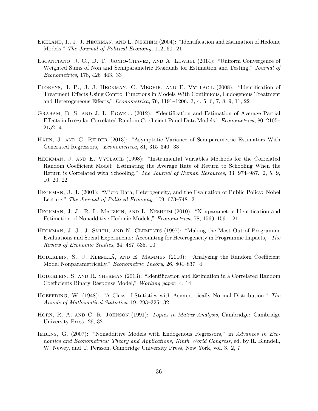- <span id="page-36-8"></span>Ekeland, I., J. J. Heckman, and L. Nesheim (2004): "Identification and Estimation of Hedonic Models," *The Journal of Political Economy*, 112, 60. [21](#page-21-1)
- <span id="page-36-13"></span>Escanciano, J. C., D. T. Jacho-Chavez, and A. Lewbel (2014): "Uniform Convergence of Weighted Sums of Non and Semiparametric Residuals for Estimation and Testing," *Journal of Econometrics*, 178, 426–443. [33](#page-33-3)
- <span id="page-36-3"></span>FLORENS, J. P., J. J. HECKMAN, C. MEGHIR, AND E. VYTLACIL (2008): "Identification of Treatment Effects Using Control Functions in Models With Continuous, Endogenous Treatment and Heterogeneous Effects," *Econometrica*, 76, 1191–1206. [3,](#page-3-0) [4,](#page-4-0) [5,](#page-5-2) [6,](#page-6-4) [7,](#page-7-3) [8,](#page-8-1) [9,](#page-9-0) [11,](#page-11-1) [22](#page-22-0)
- <span id="page-36-4"></span>GRAHAM, B. S. AND J. L. POWELL (2012): "Identification and Estimation of Average Partial Effects in Irregular Correlated Random Coefficient Panel Data Models," *Econometrica*, 80, 2105– 2152. [4](#page-4-0)
- <span id="page-36-12"></span>HAHN, J. AND G. RIDDER (2013): "Asymptotic Variance of Semiparametric Estimators With Generated Regressors," *Econometrica*, 81, 315–340. [33](#page-33-3)
- <span id="page-36-2"></span>Heckman, J. and E. Vytlacil (1998): "Instrumental Variables Methods for the Correlated Random Coefficient Model: Estimating the Average Rate of Return to Schooling When the Return is Correlated with Schooling," *The Journal of Human Resources*, 33, 974–987. [2,](#page-2-1) [5,](#page-5-2) [9,](#page-9-0) [10,](#page-10-0) [20,](#page-20-1) [22](#page-22-0)
- <span id="page-36-0"></span>Heckman, J. J. (2001): "Micro Data, Heterogeneity, and the Evaluation of Public Policy: Nobel Lecture," *The Journal of Political Economy*, 109, 673–748. [2](#page-2-1)
- <span id="page-36-9"></span>HECKMAN, J. J., R. L. MATZKIN, AND L. NESHEIM (2010): "Nonparametric Identification and Estimation of Nonadditive Hedonic Models," *Econometrica*, 78, 1569–1591. [21](#page-21-1)
- <span id="page-36-7"></span>Heckman, J. J., J. Smith, and N. Clements (1997): "Making the Most Out of Programme Evaluations and Social Experiments: Accounting for Heterogeneity in Programme Impacts," *The Review of Economic Studies*, 64, 487–535. [10](#page-10-0)
- <span id="page-36-5"></span>HODERLEIN, S., J. KLEMELÄ, AND E. MAMMEN (2010): "Analyzing the Random Coefficient Model Nonparametrically," *Econometric Theory*, 26, 804–837. [4](#page-4-0)
- <span id="page-36-6"></span>Hoderlein, S. and R. Sherman (2013): "Identification and Estimation in a Correlated Random Coefficients Binary Response Model," *Working paper.* [4,](#page-4-0) [14](#page-14-2)
- <span id="page-36-11"></span>Hoeffding, W. (1948): "A Class of Statistics with Asymptotically Normal Distribution," *The Annals of Mathematical Statistics*, 19, 293–325. [32](#page-32-5)
- <span id="page-36-10"></span>Horn, R. A. and C. R. Johnson (1991): *Topics in Matrix Analysis*, Cambridge: Cambridge University Press. [29,](#page-29-5) [32](#page-32-5)
- <span id="page-36-1"></span>Imbens, G. (2007): "Nonadditive Models with Endogenous Regressors," in *Advances in Economics and Econometrics: Theory and Applications, Ninth World Congress*, ed. by R. Blundell, W. Newey, and T. Persson, Cambridge University Press, New York, vol. 3. [2,](#page-2-1) [7](#page-7-3)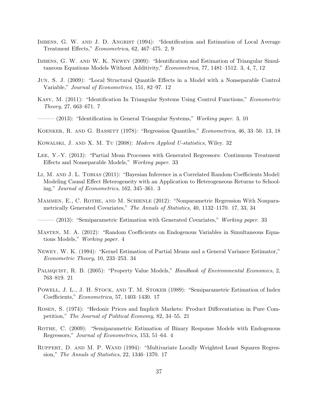- <span id="page-37-0"></span>IMBENS, G. W. AND J. D. ANGRIST (1994): "Identification and Estimation of Local Average Treatment E↵ects," *Econometrica*, 62, 467–475. [2,](#page-2-1) [9](#page-9-0)
- <span id="page-37-2"></span>Imbens, G. W. and W. K. Newey (2009): "Identification and Estimation of Triangular Simultaneous Equations Models Without Additivity," *Econometrica*, 77, 1481–1512. [3,](#page-3-0) [4,](#page-4-0) [7,](#page-7-3) [12](#page-12-2)
- <span id="page-37-7"></span>Jun, S. J. (2009): "Local Structural Quantile E↵ects in a Model with a Nonseparable Control Variable," *Journal of Econometrics*, 151, 82–97. [12](#page-12-2)
- <span id="page-37-6"></span>Kasy, M. (2011): "Identification In Triangular Systems Using Control Functions," *Econometric Theory*, 27, 663–671. [7](#page-7-3)

<span id="page-37-3"></span>——— (2013): "Identification in General Triangular Systems," *Working paper*. [3,](#page-3-0) [10](#page-10-0)

- <span id="page-37-8"></span>Koenker, R. and G. Bassett (1978): "Regression Quantiles," *Econometrica*, 46, 33–50. [13,](#page-13-2) [18](#page-18-1)
- <span id="page-37-14"></span>Kowalski, J. and X. M. Tu (2008): *Modern Applied U-statistics*, Wiley. [32](#page-32-5)
- <span id="page-37-16"></span>Lee, Y.-Y. (2013): "Partial Mean Processes with Generated Regressors: Continuous Treatment Effects and Nonseparable Models," *Working paper*. [33](#page-33-3)
- <span id="page-37-1"></span>LI, M. AND J. L. TOBIAS (2011): "Bayesian Inference in a Correlated Random Coefficients Model: Modeling Causal Effect Heterogeneity with an Application to Heterogeneous Returns to Schooling," *Journal of Econometrics*, 162, 345–361. [3](#page-3-0)
- <span id="page-37-10"></span>MAMMEN, E., C. ROTHE, AND M. SCHIENLE (2012): "Nonparametric Regression With Nonparametrically Generated Covariates," *The Annals of Statistics*, 40, 1132–1170. [17,](#page-17-0) [33,](#page-33-3) [34](#page-34-2)

<span id="page-37-15"></span>——— (2013): "Semiparametric Estimation with Generated Covariates," *Working paper*. [33](#page-33-3)

- <span id="page-37-4"></span>MASTEN, M. A. (2012): "Random Coefficients on Endogenous Variables in Simultaneous Equations Models," *Working paper*. [4](#page-4-0)
- <span id="page-37-17"></span>Newey, W. K. (1994): "Kernel Estimation of Partial Means and a General Variance Estimator," *Econometric Theory*, 10, 233–253. [34](#page-34-2)
- <span id="page-37-13"></span>Palmquist, R. B. (2005): "Property Value Models," *Handbook of Environmental Economics*, 2, 763–819. [21](#page-21-1)
- <span id="page-37-11"></span>POWELL, J. L., J. H. STOCK, AND T. M. STOKER (1989): "Semiparametric Estimation of Index Coefficients," *Econometrica*, 57, 1403–1430. [17](#page-17-0)
- <span id="page-37-12"></span>ROSEN, S. (1974): "Hedonic Prices and Implicit Markets: Product Differentiation in Pure Competition," *The Journal of Political Economy*, 82, 34–55. [21](#page-21-1)
- <span id="page-37-5"></span>ROTHE, C. (2009): "Semiparametric Estimation of Binary Response Models with Endogenous Regressors," *Journal of Econometrics*, 153, 51–64. [4](#page-4-0)
- <span id="page-37-9"></span>RUPPERT, D. AND M. P. WAND (1994): "Multivariate Locally Weighted Least Squares Regression," *The Annals of Statistics*, 22, 1346–1370. [17](#page-17-0)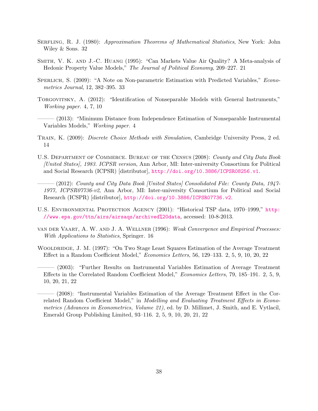- <span id="page-38-8"></span>Serfling, R. J. (1980): *Approximation Theorems of Mathematical Statistics*, New York: John Wiley & Sons. [32](#page-32-5)
- <span id="page-38-7"></span>Smith, V. K. and J.-C. Huang (1995): "Can Markets Value Air Quality? A Meta-analysis of Hedonic Property Value Models," *The Journal of Political Economy*, 209–227. [21](#page-21-1)
- <span id="page-38-9"></span>Sperlich, S. (2009): "A Note on Non-parametric Estimation with Predicted Variables," *Econometrics Journal*, 12, 382–395. [33](#page-33-3)
- <span id="page-38-3"></span>Torgovitsky, A. (2012): "Identification of Nonseparable Models with General Instruments," *Working paper*. [4,](#page-4-0) [7,](#page-7-3) [10](#page-10-0)
- <span id="page-38-4"></span>——— (2013): "Minimum Distance from Independence Estimation of Nonseparable Instrumental Variables Models," *Working paper*. [4](#page-4-0)
- <span id="page-38-5"></span>Train, K. (2009): *Discrete Choice Methods with Simulation*, Cambridge University Press, 2 ed. [14](#page-14-2)
- U.S. Department of Commerce. Bureau of the Census (2008): *County and City Data Book [United States], 1983. ICPSR version*, Ann Arbor, MI: Inter-university Consortium for Political and Social Research (ICPSR) [distributor], <http://doi.org/10.3886/ICPSR08256.v1>.
- ——— (2012): *County and City Data Book [United States] Consolidated File: County Data, 1947- 1977, ICPSR07736-v2*, Ann Arbor, MI: Inter-university Consortium for Political and Social Research (ICSPR) [distributor], <http://doi.org/10.3886/ICPSR07736.v2>.
- U.S. ENVIRONMENTAL PROTECTION AGENCY (2001): "Historical TSP data, 1970–1999," [http:](http://www.epa.gov/ttn/airs/airsaqs/archived%20data) [//www.epa.gov/ttn/airs/airsaqs/archived%20data](http://www.epa.gov/ttn/airs/airsaqs/archived%20data), accessed: 10-8-2013.
- <span id="page-38-6"></span>van der Vaart, A. W. and J. A. Wellner (1996): *Weak Convergence and Empirical Processes: With Applications to Statistics*, Springer. [16](#page-16-8)
- <span id="page-38-0"></span>WOOLDRIDGE, J. M. (1997): "On Two Stage Least Squares Estimation of the Average Treatment Effect in a Random Coefficient Model," *Economics Letters*, 56, 129–133. [2,](#page-2-1) [5,](#page-5-2) [9,](#page-9-0) [10,](#page-10-0) [20,](#page-20-1) [22](#page-22-0)
- <span id="page-38-1"></span>——— (2003): "Further Results on Instrumental Variables Estimation of Average Treatment Effects in the Correlated Random Coefficient Model," *Economics Letters*, 79, 185–191. [2,](#page-2-1) [5,](#page-5-2) [9,](#page-9-0) [10,](#page-10-0) [20,](#page-20-1) [21,](#page-21-1) [22](#page-22-0)

<span id="page-38-2"></span> $-$  (2008): "Instrumental Variables Estimation of the Average Treatment Effect in the Correlated Random Coefficient Model," in *Modelling and Evaluating Treatment Effects in Econometrics (Advances in Econometrics, Volume 21)*, ed. by D. Millimet, J. Smith, and E. Vytlacil, Emerald Group Publishing Limited, 93–116. [2,](#page-2-1) [5,](#page-5-2) [9,](#page-9-0) [10,](#page-10-0) [20,](#page-20-1) [21,](#page-21-1) [22](#page-22-0)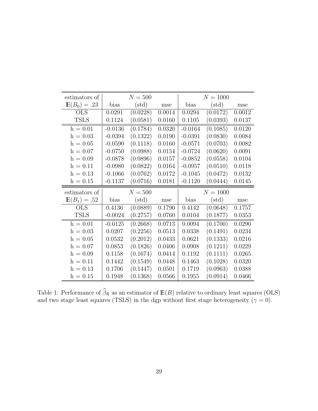| estimators of  |           | $N = 500$      |        |           | $N = 1000$     |        |
|----------------|-----------|----------------|--------|-----------|----------------|--------|
| $E(B_0) = .23$ | bias      | $(\text{std})$ | mse    | bias      | $(\text{std})$ | mse    |
| <b>OLS</b>     | 0.0291    | (0.0228)       | 0.0014 | 0.0294    | (0.0172)       | 0.0012 |
| <b>TSLS</b>    | 0.1124    | (0.0581)       | 0.0160 | 0.1105    | (0.0393)       | 0.0137 |
| $h = 0.01$     | $-0.0136$ | (0.1784)       | 0.0320 | $-0.0164$ | (0.1085)       | 0.0120 |
| $h = 0.03$     | $-0.0394$ | (0.1322)       | 0.0190 | $-0.0391$ | (0.0830)       | 0.0084 |
| $h = 0.05$     | $-0.0590$ | (0.1118)       | 0.0160 | $-0.0571$ | (0.0703)       | 0.0082 |
| $h = 0.07$     | $-0.0750$ | (0.0988)       | 0.0154 | $-0.0724$ | (0.0620)       | 0.0091 |
| $h = 0.09$     | $-0.0878$ | (0.0896)       | 0.0157 | $-0.0852$ | (0.0558)       | 0.0104 |
| $h = 0.11$     | $-0.0980$ | (0.0822)       | 0.0164 | $-0.0957$ | (0.0510)       | 0.0118 |
| $h = 0.13$     | $-0.1066$ | (0.0762)       | 0.0172 | $-0.1045$ | (0.0472)       | 0.0132 |
| $h = 0.15$     | $-0.1137$ | (0.0716)       | 0.0181 | $-0.1120$ | (0.0444)       | 0.0145 |
|                |           |                |        |           |                |        |
| estimators of  |           | $N = 500$      |        |           | $N = 1000$     |        |
| $E(B_1) = .52$ | bias      | $(\text{std})$ | mse    | bias      | $(\text{std})$ | mse    |
| <b>OLS</b>     | 0.4136    | (0.0889)       | 0.1790 | 0.4142    | (0.0648)       | 0.1757 |
| <b>TSLS</b>    | $-0.0024$ | (0.2757)       | 0.0760 | 0.0104    | (0.1877)       | 0.0353 |
| $h = 0.01$     | $-0.0125$ | (0.2668)       | 0.0713 | 0.0094    | (0.1700)       | 0.0290 |
| $h = 0.03$     | 0.0207    | (0.2256)       | 0.0513 | 0.0338    | (0.1491)       | 0.0234 |
| $h = 0.05$     | 0.0532    | (0.2012)       | 0.0433 | 0.0621    | (0.1333)       | 0.0216 |
| $h = 0.07$     | 0.0853    | (0.1826)       | 0.0406 | 0.0908    | (0.1211)       | 0.0229 |
| $h = 0.09$     | 0.1158    | (0.1674)       | 0.0414 | 0.1192    | (0.1111)       | 0.0265 |
| $h = 0.11$     | 0.1442    | (0.1549)       | 0.0448 | 0.1463    | (0.1028)       | 0.0320 |
| $h = 0.13$     | 0.1706    | (0.1447)       | 0.0501 | 0.1719    | (0.0963)       | 0.0388 |

<span id="page-39-0"></span>Table 1: Performance of  $\beta_{\mathcal{R}}$  as an estimator of  $\mathbb{E}(B)$  relative to ordinary least squares (OLS) and two stage least squares (TSLS) in the dgp without first stage heterogeneity ( $\gamma = 0$ ).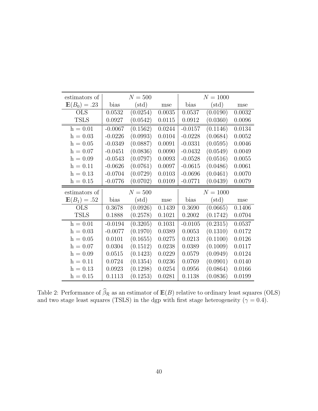| estimators of  |           | $N = 500$      |        |           | $N = 1000$     |            |
|----------------|-----------|----------------|--------|-----------|----------------|------------|
| $E(B_0) = .23$ | bias      | $(\text{std})$ | mse    | bias      | $(\text{std})$ | mse        |
| <b>OLS</b>     | 0.0532    | (0.0254)       | 0.0035 | 0.0537    | (0.0190)       | 0.0032     |
| <b>TSLS</b>    | 0.0927    | (0.0542)       | 0.0115 | 0.0912    | (0.0360)       | 0.0096     |
| $h = 0.01$     | $-0.0067$ | (0.1562)       | 0.0244 | $-0.0157$ | (0.1146)       | 0.0134     |
| $h = 0.03$     | $-0.0226$ | (0.0993)       | 0.0104 | $-0.0228$ | (0.0684)       | $0.0052\,$ |
| $h = 0.05$     | $-0.0349$ | (0.0887)       | 0.0091 | $-0.0331$ | (0.0595)       | 0.0046     |
| $h = 0.07$     | $-0.0451$ | (0.0836)       | 0.0090 | $-0.0432$ | (0.0549)       | 0.0049     |
| $h = 0.09$     | $-0.0543$ | (0.0797)       | 0.0093 | $-0.0528$ | (0.0516)       | 0.0055     |
| $h = 0.11$     | $-0.0626$ | (0.0761)       | 0.0097 | $-0.0615$ | (0.0486)       | 0.0061     |
| $h = 0.13$     | $-0.0704$ | (0.0729)       | 0.0103 | $-0.0696$ | (0.0461)       | 0.0070     |
| $h = 0.15$     | $-0.0776$ | (0.0702)       | 0.0109 | $-0.0771$ | (0.0439)       | 0.0079     |
|                |           |                |        |           |                |            |
| estimators of  |           | $N = 500$      |        |           | $N = 1000$     |            |
| $E(B_1) = .52$ | bias      | $(\text{std})$ | mse    | bias      | $(\text{std})$ | mse        |
| <b>OLS</b>     | 0.3678    | (0.0926)       | 0.1439 | 0.3690    | (0.0665)       | 0.1406     |
| <b>TSLS</b>    | 0.1888    | (0.2578)       | 0.1021 | 0.2002    | (0.1742)       | 0.0704     |
| $h = 0.01$     | $-0.0194$ | (0.3205)       | 0.1031 | $-0.0105$ | (0.2315)       | 0.0537     |
| $h = 0.03$     | $-0.0077$ | (0.1970)       | 0.0389 | 0.0053    | (0.1310)       | 0.0172     |
| $h = 0.05$     | 0.0101    | (0.1655)       | 0.0275 | 0.0213    | (0.1100)       | 0.0126     |
| $h = 0.07$     | 0.0304    | (0.1512)       | 0.0238 | 0.0389    | (0.1009)       | 0.0117     |
| $h = 0.09$     | 0.0515    | (0.1423)       | 0.0229 | 0.0579    | (0.0949)       | 0.0124     |
| $h = 0.11$     | 0.0724    | (0.1354)       | 0.0236 | 0.0769    | (0.0901)       | 0.0140     |
| $h = 0.13$     | 0.0923    | (0.1298)       | 0.0254 | 0.0956    | (0.0864)       | 0.0166     |

<span id="page-40-0"></span>Table 2: Performance of  $\beta_{\mathcal{R}}$  as an estimator of  $\mathbb{E}(B)$  relative to ordinary least squares (OLS) and two stage least squares (TSLS) in the dgp with first stage heterogeneity ( $\gamma = 0.4$ ).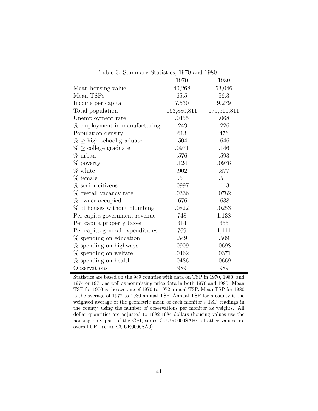|                                 | 1970        | 1980        |
|---------------------------------|-------------|-------------|
| Mean housing value              | 40,268      | 53,046      |
| Mean TSPs                       | 65.5        | 56.3        |
| Income per capita               | 7,530       | 9,279       |
| Total population                | 163,880,811 | 175,516,811 |
| Unemployment rate               | .0455       | .068        |
| % employment in manufacturing   | .249        | .226        |
| Population density              | 613         | 476         |
| $\% \geq$ high school graduate  | .504        | .646        |
| $\% \geq$ college graduate      | .0971       | .146        |
| % urban                         | .576        | .593        |
| % poverty                       | .124        | .0976       |
| % white                         | $.902\,$    | .877        |
| % female                        | .51         | .511        |
| % senior citizens               | .0997       | .113        |
| % overall vacancy rate          | .0336       | .0782       |
| % owner-occupied                | .676        | .638        |
| % of houses without plumbing    | .0822       | .0253       |
| Per capita government revenue   | 748         | 1,138       |
| Per capita property taxes       | 314         | 366         |
| Per capita general expenditures | 769         | 1,111       |
| % spending on education         | .549        | .509        |
| % spending on highways          | .0909       | .0698       |
| % spending on welfare           | .0462       | .0371       |
| $%$ spending on health          | .0486       | .0669       |
| Observations                    | 989         | 989         |

<span id="page-41-0"></span>Table 3: Summary Statistics, 1970 and 1980

Statistics are based on the 989 counties with data on TSP in 1970, 1980, and 1974 or 1975, as well as nonmissing price data in both 1970 and 1980. Mean TSP for 1970 is the average of 1970 to 1972 annual TSP. Mean TSP for 1980 is the average of 1977 to 1980 annual TSP. Annual TSP for a county is the weighted average of the geometric mean of each monitor's TSP readings in the county, using the number of observations per monitor as weights. All dollar quantities are adjusted to 1982-1984 dollars (housing values use the housing only part of the CPI, series CUUR0000SAH; all other values use overall CPI, series CUUR0000SA0).